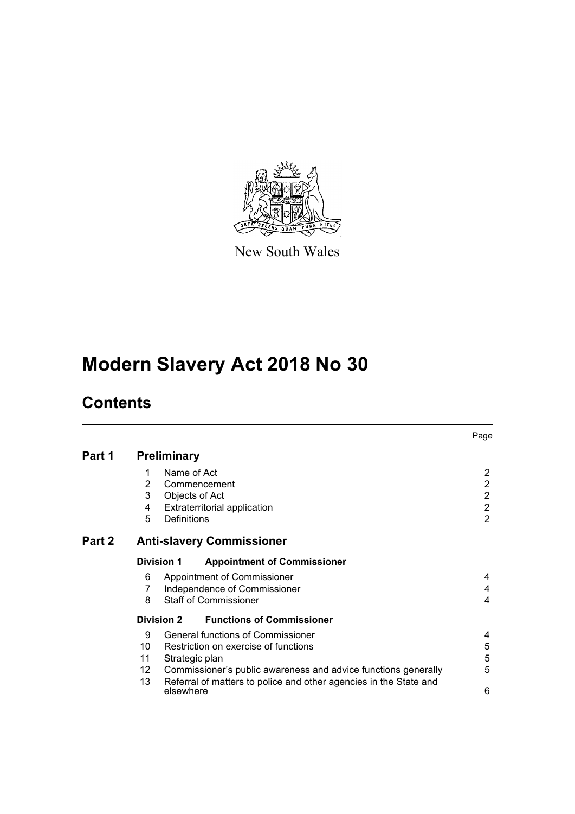

New South Wales

# **Modern Slavery Act 2018 No 30**

# **Contents**

|               |                                                  |                |                                                                   | Page           |  |  |
|---------------|--------------------------------------------------|----------------|-------------------------------------------------------------------|----------------|--|--|
| Part 1        | <b>Preliminary</b>                               |                |                                                                   |                |  |  |
|               |                                                  | Name of Act    |                                                                   | $\overline{2}$ |  |  |
|               | 2                                                |                | Commencement                                                      | $\overline{2}$ |  |  |
|               | 3                                                | Objects of Act |                                                                   | $\overline{2}$ |  |  |
|               | 4                                                |                | <b>Extraterritorial application</b>                               | $\overline{2}$ |  |  |
|               | 5                                                | Definitions    |                                                                   | $\overline{2}$ |  |  |
| <b>Part 2</b> | <b>Anti-slavery Commissioner</b>                 |                |                                                                   |                |  |  |
|               | Division 1<br><b>Appointment of Commissioner</b> |                |                                                                   |                |  |  |
|               | 6                                                |                | Appointment of Commissioner                                       | 4              |  |  |
|               | 7                                                |                | Independence of Commissioner                                      | 4              |  |  |
|               | 8                                                |                | <b>Staff of Commissioner</b>                                      | 4              |  |  |
|               |                                                  | Division 2     | <b>Functions of Commissioner</b>                                  |                |  |  |
|               | 9                                                |                | General functions of Commissioner                                 | 4              |  |  |
|               | 10                                               |                | Restriction on exercise of functions                              | 5              |  |  |
|               | 11                                               | Strategic plan |                                                                   | 5              |  |  |
|               | 12                                               |                | Commissioner's public awareness and advice functions generally    | 5              |  |  |
|               | 13                                               | elsewhere      | Referral of matters to police and other agencies in the State and | 6              |  |  |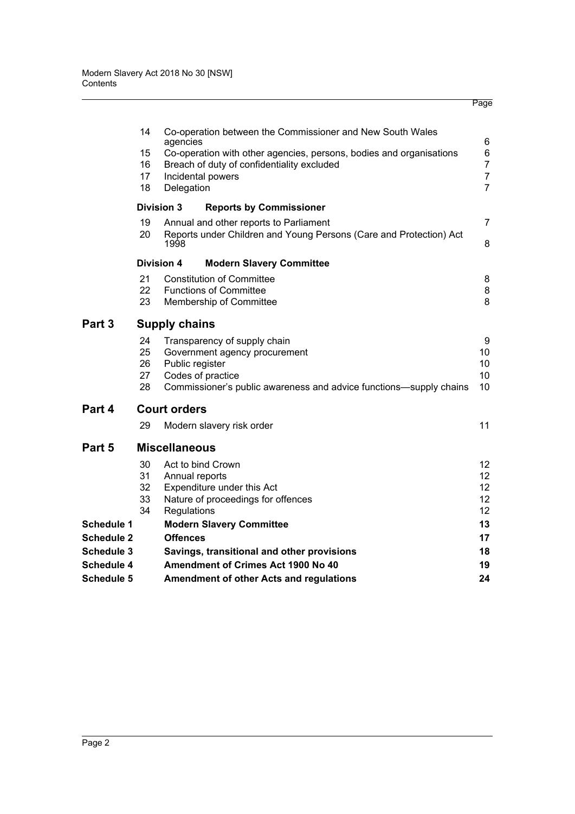|                                        |                      |                                                                            | Page           |  |  |  |  |
|----------------------------------------|----------------------|----------------------------------------------------------------------------|----------------|--|--|--|--|
|                                        | 14                   | Co-operation between the Commissioner and New South Wales<br>agencies      | 6              |  |  |  |  |
|                                        | 15                   | Co-operation with other agencies, persons, bodies and organisations        |                |  |  |  |  |
|                                        | 16                   | Breach of duty of confidentiality excluded                                 | $\overline{7}$ |  |  |  |  |
|                                        | 17                   | Incidental powers                                                          | $\overline{7}$ |  |  |  |  |
|                                        | 18                   | Delegation                                                                 | $\overline{7}$ |  |  |  |  |
|                                        |                      | <b>Division 3</b><br><b>Reports by Commissioner</b>                        |                |  |  |  |  |
|                                        | 19                   | Annual and other reports to Parliament                                     | 7              |  |  |  |  |
|                                        | 20                   | Reports under Children and Young Persons (Care and Protection) Act<br>1998 | 8              |  |  |  |  |
|                                        |                      | <b>Division 4</b><br><b>Modern Slavery Committee</b>                       |                |  |  |  |  |
|                                        | 21                   | <b>Constitution of Committee</b>                                           | 8              |  |  |  |  |
|                                        | 22                   | <b>Functions of Committee</b>                                              | 8              |  |  |  |  |
|                                        | 23                   | Membership of Committee                                                    | 8              |  |  |  |  |
| Part 3                                 | <b>Supply chains</b> |                                                                            |                |  |  |  |  |
|                                        | 24                   | Transparency of supply chain                                               | 9              |  |  |  |  |
|                                        | 25                   | Government agency procurement                                              | 10             |  |  |  |  |
|                                        | 26                   | Public register                                                            | 10             |  |  |  |  |
|                                        | 27                   | Codes of practice                                                          | 10<br>10       |  |  |  |  |
|                                        | 28                   | Commissioner's public awareness and advice functions—supply chains         |                |  |  |  |  |
| Part 4                                 |                      | <b>Court orders</b>                                                        |                |  |  |  |  |
|                                        | 29                   | Modern slavery risk order                                                  | 11             |  |  |  |  |
| Part 5                                 | <b>Miscellaneous</b> |                                                                            |                |  |  |  |  |
|                                        | 30                   | Act to bind Crown                                                          | 12             |  |  |  |  |
|                                        | 31                   | Annual reports                                                             | 12             |  |  |  |  |
|                                        | 32                   | Expenditure under this Act                                                 | 12             |  |  |  |  |
|                                        | 33<br>34             | Nature of proceedings for offences                                         | 12<br>12       |  |  |  |  |
|                                        |                      | Regulations                                                                | 13             |  |  |  |  |
| <b>Schedule 1</b><br><b>Schedule 2</b> |                      | <b>Modern Slavery Committee</b><br><b>Offences</b>                         | 17             |  |  |  |  |
| <b>Schedule 3</b>                      |                      | Savings, transitional and other provisions                                 | 18             |  |  |  |  |
| <b>Schedule 4</b>                      |                      | Amendment of Crimes Act 1900 No 40                                         | 19             |  |  |  |  |
| <b>Schedule 5</b>                      |                      | Amendment of other Acts and regulations                                    | 24             |  |  |  |  |
|                                        |                      |                                                                            |                |  |  |  |  |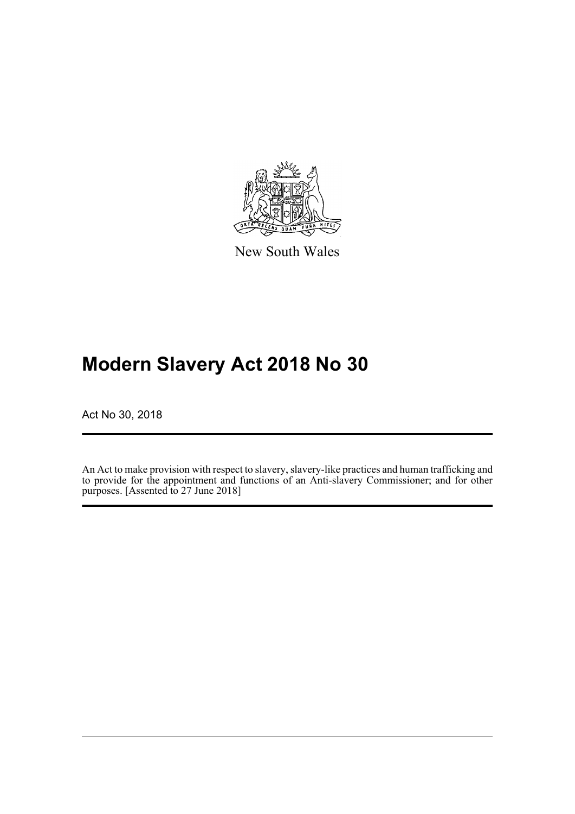

New South Wales

# **Modern Slavery Act 2018 No 30**

Act No 30, 2018

An Act to make provision with respect to slavery, slavery-like practices and human trafficking and to provide for the appointment and functions of an Anti-slavery Commissioner; and for other purposes. [Assented to 27 June 2018]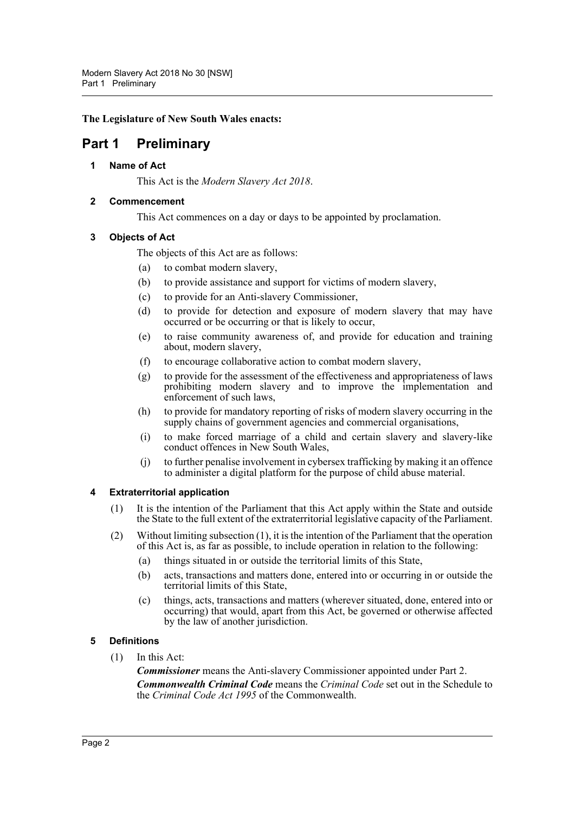#### **The Legislature of New South Wales enacts:**

# <span id="page-3-1"></span><span id="page-3-0"></span>**Part 1 Preliminary**

#### **1 Name of Act**

This Act is the *Modern Slavery Act 2018*.

#### <span id="page-3-2"></span>**2 Commencement**

This Act commences on a day or days to be appointed by proclamation.

# <span id="page-3-3"></span>**3 Objects of Act**

The objects of this Act are as follows:

- (a) to combat modern slavery,
- (b) to provide assistance and support for victims of modern slavery,
- (c) to provide for an Anti-slavery Commissioner,
- (d) to provide for detection and exposure of modern slavery that may have occurred or be occurring or that is likely to occur,
- (e) to raise community awareness of, and provide for education and training about, modern slavery,
- (f) to encourage collaborative action to combat modern slavery,
- (g) to provide for the assessment of the effectiveness and appropriateness of laws prohibiting modern slavery and to improve the implementation and enforcement of such laws,
- (h) to provide for mandatory reporting of risks of modern slavery occurring in the supply chains of government agencies and commercial organisations,
- (i) to make forced marriage of a child and certain slavery and slavery-like conduct offences in New South Wales,
- (j) to further penalise involvement in cybersex trafficking by making it an offence to administer a digital platform for the purpose of child abuse material.

#### <span id="page-3-4"></span>**4 Extraterritorial application**

- (1) It is the intention of the Parliament that this Act apply within the State and outside the State to the full extent of the extraterritorial legislative capacity of the Parliament.
- (2) Without limiting subsection (1), it is the intention of the Parliament that the operation of this Act is, as far as possible, to include operation in relation to the following:
	- (a) things situated in or outside the territorial limits of this State,
	- (b) acts, transactions and matters done, entered into or occurring in or outside the territorial limits of this State,
	- (c) things, acts, transactions and matters (wherever situated, done, entered into or occurring) that would, apart from this Act, be governed or otherwise affected by the law of another jurisdiction.

# <span id="page-3-5"></span>**5 Definitions**

(1) In this Act:

*Commissioner* means the Anti-slavery Commissioner appointed under Part 2. *Commonwealth Criminal Code* means the *Criminal Code* set out in the Schedule to the *Criminal Code Act 1995* of the Commonwealth.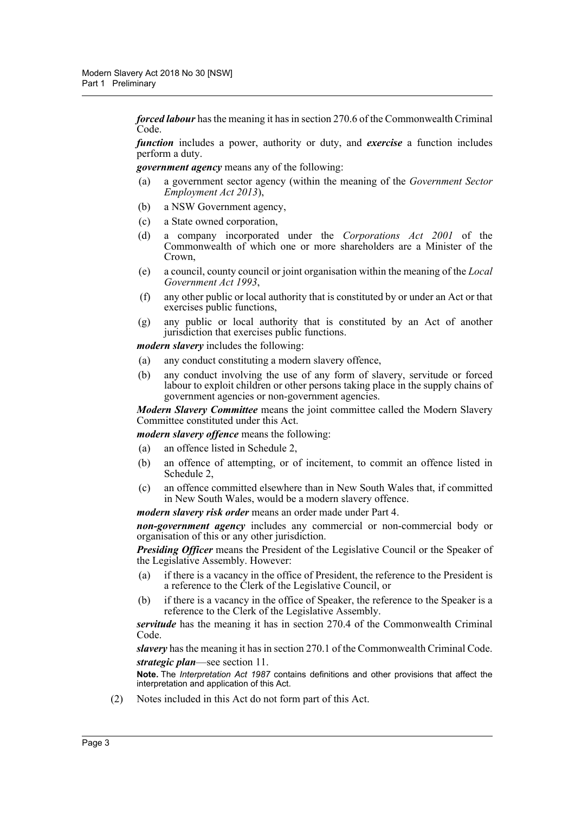*forced labour* has the meaning it has in section 270.6 of the Commonwealth Criminal Code.

*function* includes a power, authority or duty, and *exercise* a function includes perform a duty.

*government agency* means any of the following:

- (a) a government sector agency (within the meaning of the *Government Sector Employment Act 2013*),
- (b) a NSW Government agency,
- (c) a State owned corporation,
- (d) a company incorporated under the *Corporations Act 2001* of the Commonwealth of which one or more shareholders are a Minister of the Crown,
- (e) a council, county council or joint organisation within the meaning of the *Local Government Act 1993*,
- (f) any other public or local authority that is constituted by or under an Act or that exercises public functions,
- (g) any public or local authority that is constituted by an Act of another jurisdiction that exercises public functions.

*modern slavery* includes the following:

- (a) any conduct constituting a modern slavery offence,
- (b) any conduct involving the use of any form of slavery, servitude or forced labour to exploit children or other persons taking place in the supply chains of government agencies or non-government agencies.

*Modern Slavery Committee* means the joint committee called the Modern Slavery Committee constituted under this Act.

*modern slavery offence* means the following:

- (a) an offence listed in Schedule 2,
- (b) an offence of attempting, or of incitement, to commit an offence listed in Schedule 2,
- (c) an offence committed elsewhere than in New South Wales that, if committed in New South Wales, would be a modern slavery offence.

*modern slavery risk order* means an order made under Part 4.

*non-government agency* includes any commercial or non-commercial body or organisation of this or any other jurisdiction.

*Presiding Officer* means the President of the Legislative Council or the Speaker of the Legislative Assembly. However:

- (a) if there is a vacancy in the office of President, the reference to the President is a reference to the Clerk of the Legislative Council, or
- (b) if there is a vacancy in the office of Speaker, the reference to the Speaker is a reference to the Clerk of the Legislative Assembly.

*servitude* has the meaning it has in section 270.4 of the Commonwealth Criminal Code.

*slavery* has the meaning it has in section 270.1 of the Commonwealth Criminal Code. *strategic plan*—see section 11.

**Note.** The *Interpretation Act 1987* contains definitions and other provisions that affect the interpretation and application of this Act.

(2) Notes included in this Act do not form part of this Act.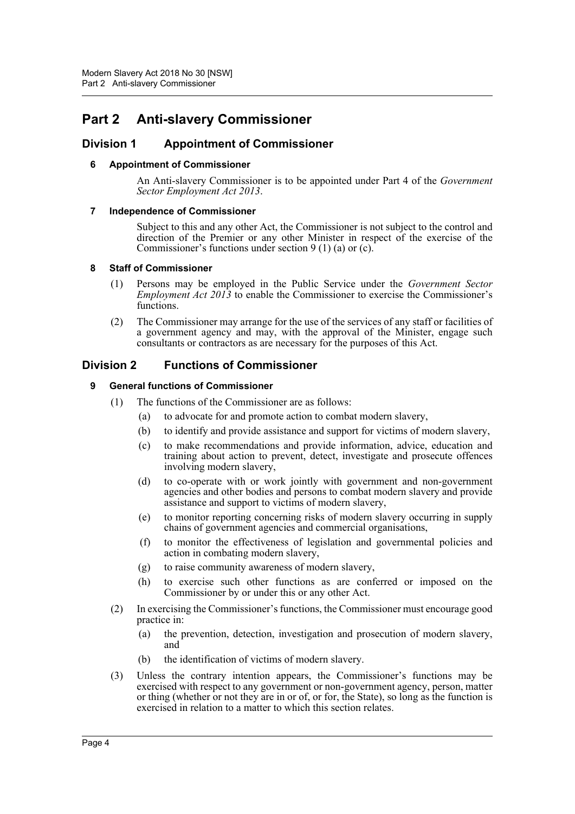# <span id="page-5-0"></span>**Part 2 Anti-slavery Commissioner**

# <span id="page-5-2"></span><span id="page-5-1"></span>**Division 1 Appointment of Commissioner**

#### **6 Appointment of Commissioner**

An Anti-slavery Commissioner is to be appointed under Part 4 of the *Government Sector Employment Act 2013*.

#### <span id="page-5-3"></span>**7 Independence of Commissioner**

Subject to this and any other Act, the Commissioner is not subject to the control and direction of the Premier or any other Minister in respect of the exercise of the Commissioner's functions under section  $9(1)(a)$  or (c).

#### <span id="page-5-4"></span>**8 Staff of Commissioner**

- (1) Persons may be employed in the Public Service under the *Government Sector Employment Act 2013* to enable the Commissioner to exercise the Commissioner's functions.
- (2) The Commissioner may arrange for the use of the services of any staff or facilities of a government agency and may, with the approval of the Minister, engage such consultants or contractors as are necessary for the purposes of this Act.

# <span id="page-5-6"></span><span id="page-5-5"></span>**Division 2 Functions of Commissioner**

#### **9 General functions of Commissioner**

- (1) The functions of the Commissioner are as follows:
	- (a) to advocate for and promote action to combat modern slavery,
	- (b) to identify and provide assistance and support for victims of modern slavery,
	- (c) to make recommendations and provide information, advice, education and training about action to prevent, detect, investigate and prosecute offences involving modern slavery,
	- (d) to co-operate with or work jointly with government and non-government agencies and other bodies and persons to combat modern slavery and provide assistance and support to victims of modern slavery,
	- (e) to monitor reporting concerning risks of modern slavery occurring in supply chains of government agencies and commercial organisations,
	- (f) to monitor the effectiveness of legislation and governmental policies and action in combating modern slavery,
	- (g) to raise community awareness of modern slavery,
	- (h) to exercise such other functions as are conferred or imposed on the Commissioner by or under this or any other Act.
- (2) In exercising the Commissioner's functions, the Commissioner must encourage good practice in:
	- (a) the prevention, detection, investigation and prosecution of modern slavery, and
	- (b) the identification of victims of modern slavery.
- (3) Unless the contrary intention appears, the Commissioner's functions may be exercised with respect to any government or non-government agency, person, matter or thing (whether or not they are in or of, or for, the State), so long as the function is exercised in relation to a matter to which this section relates.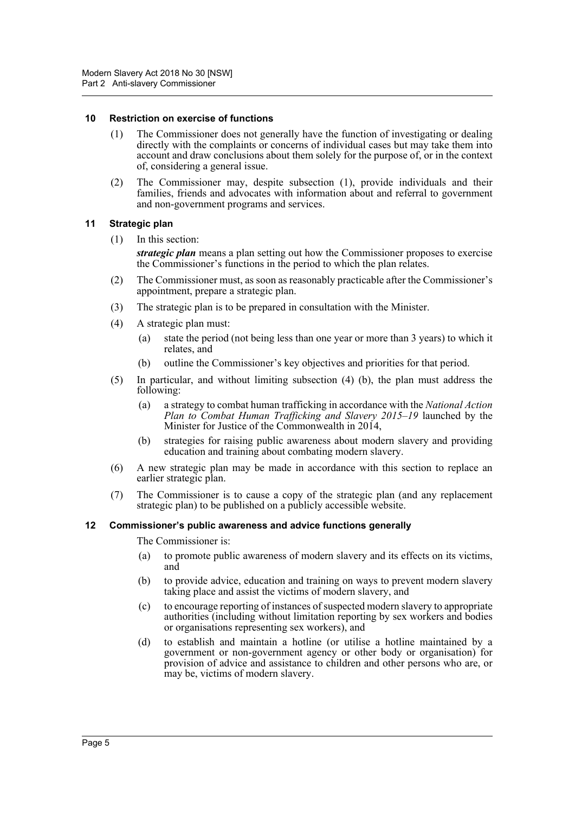#### <span id="page-6-0"></span>**10 Restriction on exercise of functions**

- (1) The Commissioner does not generally have the function of investigating or dealing directly with the complaints or concerns of individual cases but may take them into account and draw conclusions about them solely for the purpose of, or in the context of, considering a general issue.
- (2) The Commissioner may, despite subsection (1), provide individuals and their families, friends and advocates with information about and referral to government and non-government programs and services.

#### <span id="page-6-1"></span>**11 Strategic plan**

(1) In this section:

*strategic plan* means a plan setting out how the Commissioner proposes to exercise the Commissioner's functions in the period to which the plan relates.

- (2) The Commissioner must, as soon as reasonably practicable after the Commissioner's appointment, prepare a strategic plan.
- (3) The strategic plan is to be prepared in consultation with the Minister.
- (4) A strategic plan must:
	- (a) state the period (not being less than one year or more than 3 years) to which it relates, and
	- (b) outline the Commissioner's key objectives and priorities for that period.
- (5) In particular, and without limiting subsection (4) (b), the plan must address the following:
	- (a) a strategy to combat human trafficking in accordance with the *National Action Plan to Combat Human Trafficking and Slavery 2015–19* launched by the Minister for Justice of the Commonwealth in 2014,
	- (b) strategies for raising public awareness about modern slavery and providing education and training about combating modern slavery.
- (6) A new strategic plan may be made in accordance with this section to replace an earlier strategic plan.
- (7) The Commissioner is to cause a copy of the strategic plan (and any replacement strategic plan) to be published on a publicly accessible website.

#### <span id="page-6-2"></span>**12 Commissioner's public awareness and advice functions generally**

The Commissioner is:

- (a) to promote public awareness of modern slavery and its effects on its victims, and
- (b) to provide advice, education and training on ways to prevent modern slavery taking place and assist the victims of modern slavery, and
- (c) to encourage reporting of instances of suspected modern slavery to appropriate authorities (including without limitation reporting by sex workers and bodies or organisations representing sex workers), and
- (d) to establish and maintain a hotline (or utilise a hotline maintained by a government or non-government agency or other body or organisation) for provision of advice and assistance to children and other persons who are, or may be, victims of modern slavery.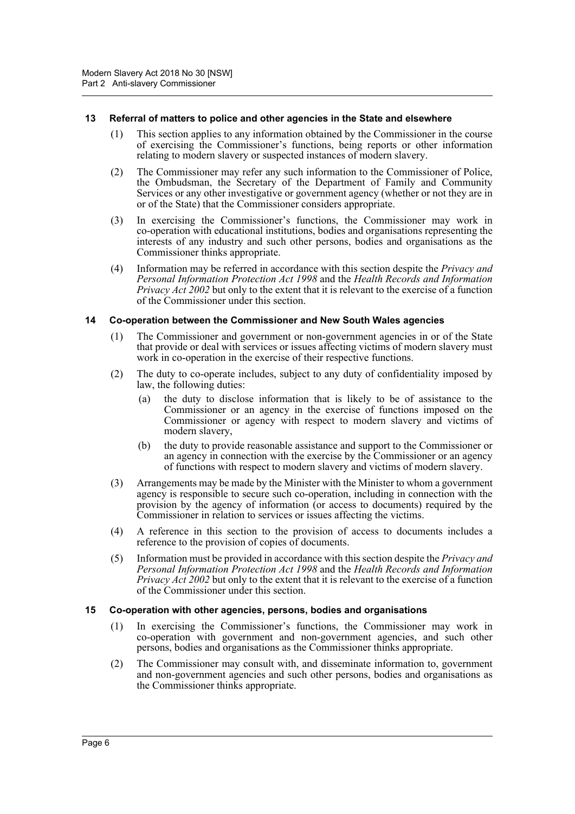#### <span id="page-7-0"></span>**13 Referral of matters to police and other agencies in the State and elsewhere**

- (1) This section applies to any information obtained by the Commissioner in the course of exercising the Commissioner's functions, being reports or other information relating to modern slavery or suspected instances of modern slavery.
- (2) The Commissioner may refer any such information to the Commissioner of Police, the Ombudsman, the Secretary of the Department of Family and Community Services or any other investigative or government agency (whether or not they are in or of the State) that the Commissioner considers appropriate.
- (3) In exercising the Commissioner's functions, the Commissioner may work in co-operation with educational institutions, bodies and organisations representing the interests of any industry and such other persons, bodies and organisations as the Commissioner thinks appropriate.
- (4) Information may be referred in accordance with this section despite the *Privacy and Personal Information Protection Act 1998* and the *Health Records and Information Privacy Act 2002* but only to the extent that it is relevant to the exercise of a function of the Commissioner under this section.

#### <span id="page-7-1"></span>**14 Co-operation between the Commissioner and New South Wales agencies**

- (1) The Commissioner and government or non-government agencies in or of the State that provide or deal with services or issues affecting victims of modern slavery must work in co-operation in the exercise of their respective functions.
- (2) The duty to co-operate includes, subject to any duty of confidentiality imposed by law, the following duties:
	- (a) the duty to disclose information that is likely to be of assistance to the Commissioner or an agency in the exercise of functions imposed on the Commissioner or agency with respect to modern slavery and victims of modern slavery,
	- (b) the duty to provide reasonable assistance and support to the Commissioner or an agency in connection with the exercise by the Commissioner or an agency of functions with respect to modern slavery and victims of modern slavery.
- (3) Arrangements may be made by the Minister with the Minister to whom a government agency is responsible to secure such co-operation, including in connection with the provision by the agency of information (or access to documents) required by the Commissioner in relation to services or issues affecting the victims.
- (4) A reference in this section to the provision of access to documents includes a reference to the provision of copies of documents.
- (5) Information must be provided in accordance with this section despite the *Privacy and Personal Information Protection Act 1998* and the *Health Records and Information Privacy Act 2002* but only to the extent that it is relevant to the exercise of a function of the Commissioner under this section.

#### <span id="page-7-2"></span>**15 Co-operation with other agencies, persons, bodies and organisations**

- (1) In exercising the Commissioner's functions, the Commissioner may work in co-operation with government and non-government agencies, and such other persons, bodies and organisations as the Commissioner thinks appropriate.
- (2) The Commissioner may consult with, and disseminate information to, government and non-government agencies and such other persons, bodies and organisations as the Commissioner thinks appropriate.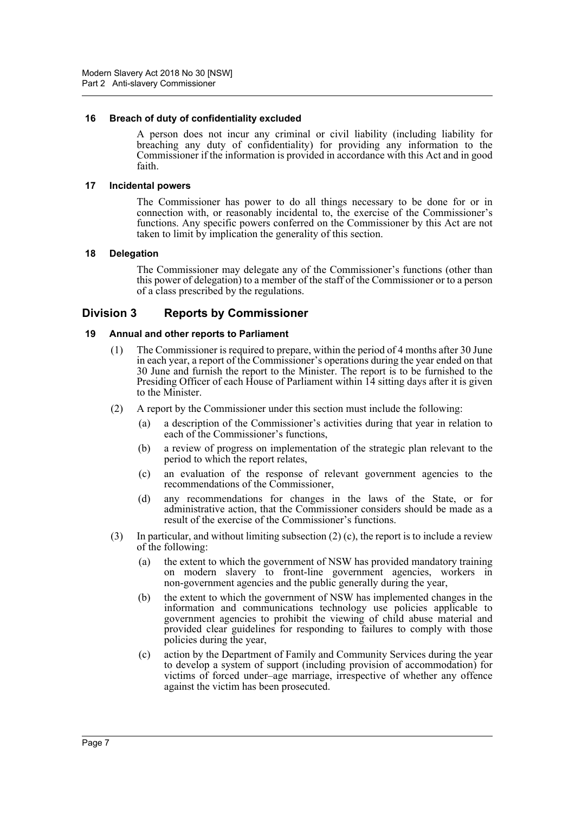#### <span id="page-8-0"></span>**16 Breach of duty of confidentiality excluded**

A person does not incur any criminal or civil liability (including liability for breaching any duty of confidentiality) for providing any information to the Commissioner if the information is provided in accordance with this Act and in good faith.

#### <span id="page-8-1"></span>**17 Incidental powers**

The Commissioner has power to do all things necessary to be done for or in connection with, or reasonably incidental to, the exercise of the Commissioner's functions. Any specific powers conferred on the Commissioner by this Act are not taken to limit by implication the generality of this section.

#### <span id="page-8-2"></span>**18 Delegation**

The Commissioner may delegate any of the Commissioner's functions (other than this power of delegation) to a member of the staff of the Commissioner or to a person of a class prescribed by the regulations.

# <span id="page-8-3"></span>**Division 3 Reports by Commissioner**

#### <span id="page-8-4"></span>**19 Annual and other reports to Parliament**

- (1) The Commissioner is required to prepare, within the period of 4 months after 30 June in each year, a report of the Commissioner's operations during the year ended on that 30 June and furnish the report to the Minister. The report is to be furnished to the Presiding Officer of each House of Parliament within 14 sitting days after it is given to the Minister.
- (2) A report by the Commissioner under this section must include the following:
	- (a) a description of the Commissioner's activities during that year in relation to each of the Commissioner's functions,
	- (b) a review of progress on implementation of the strategic plan relevant to the period to which the report relates,
	- (c) an evaluation of the response of relevant government agencies to the recommendations of the Commissioner,
	- (d) any recommendations for changes in the laws of the State, or for administrative action, that the Commissioner considers should be made as a result of the exercise of the Commissioner's functions.
- (3) In particular, and without limiting subsection  $(2)$  (c), the report is to include a review of the following:
	- (a) the extent to which the government of NSW has provided mandatory training on modern slavery to front-line government agencies, workers in non-government agencies and the public generally during the year,
	- (b) the extent to which the government of NSW has implemented changes in the information and communications technology use policies applicable to government agencies to prohibit the viewing of child abuse material and provided clear guidelines for responding to failures to comply with those policies during the year,
	- (c) action by the Department of Family and Community Services during the year to develop a system of support (including provision of accommodation) for victims of forced under–age marriage, irrespective of whether any offence against the victim has been prosecuted.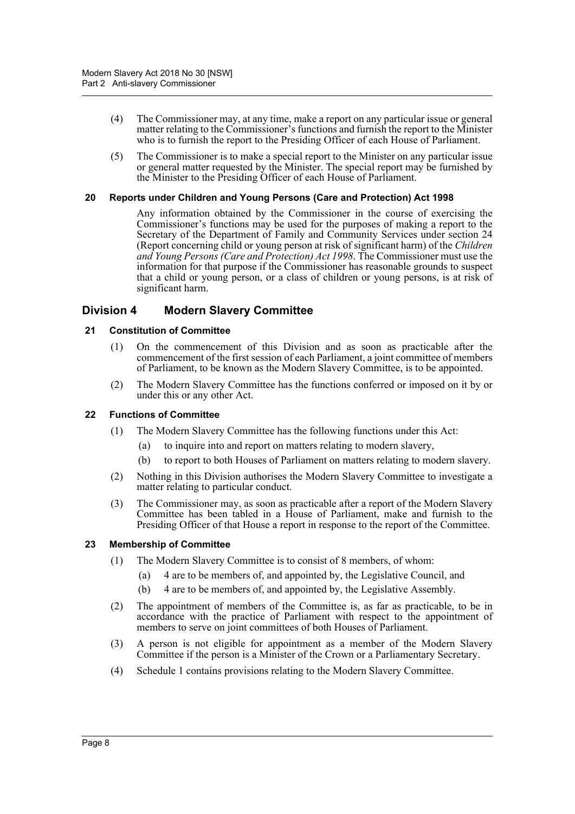- (4) The Commissioner may, at any time, make a report on any particular issue or general matter relating to the Commissioner's functions and furnish the report to the Minister who is to furnish the report to the Presiding Officer of each House of Parliament.
- (5) The Commissioner is to make a special report to the Minister on any particular issue or general matter requested by the Minister. The special report may be furnished by the Minister to the Presiding Officer of each House of Parliament.

#### <span id="page-9-0"></span>**20 Reports under Children and Young Persons (Care and Protection) Act 1998**

Any information obtained by the Commissioner in the course of exercising the Commissioner's functions may be used for the purposes of making a report to the Secretary of the Department of Family and Community Services under section 24 (Report concerning child or young person at risk of significant harm) of the *Children and Young Persons (Care and Protection) Act 1998*. The Commissioner must use the information for that purpose if the Commissioner has reasonable grounds to suspect that a child or young person, or a class of children or young persons, is at risk of significant harm.

# <span id="page-9-1"></span>**Division 4 Modern Slavery Committee**

#### <span id="page-9-2"></span>**21 Constitution of Committee**

- (1) On the commencement of this Division and as soon as practicable after the commencement of the first session of each Parliament, a joint committee of members of Parliament, to be known as the Modern Slavery Committee, is to be appointed.
- (2) The Modern Slavery Committee has the functions conferred or imposed on it by or under this or any other Act.

#### <span id="page-9-3"></span>**22 Functions of Committee**

- (1) The Modern Slavery Committee has the following functions under this Act:
	- (a) to inquire into and report on matters relating to modern slavery,
	- (b) to report to both Houses of Parliament on matters relating to modern slavery.
- (2) Nothing in this Division authorises the Modern Slavery Committee to investigate a matter relating to particular conduct.
- (3) The Commissioner may, as soon as practicable after a report of the Modern Slavery Committee has been tabled in a House of Parliament, make and furnish to the Presiding Officer of that House a report in response to the report of the Committee.

#### <span id="page-9-4"></span>**23 Membership of Committee**

- (1) The Modern Slavery Committee is to consist of 8 members, of whom:
	- (a) 4 are to be members of, and appointed by, the Legislative Council, and
	- (b) 4 are to be members of, and appointed by, the Legislative Assembly.
- (2) The appointment of members of the Committee is, as far as practicable, to be in accordance with the practice of Parliament with respect to the appointment of members to serve on joint committees of both Houses of Parliament.
- (3) A person is not eligible for appointment as a member of the Modern Slavery Committee if the person is a Minister of the Crown or a Parliamentary Secretary.
- (4) Schedule 1 contains provisions relating to the Modern Slavery Committee.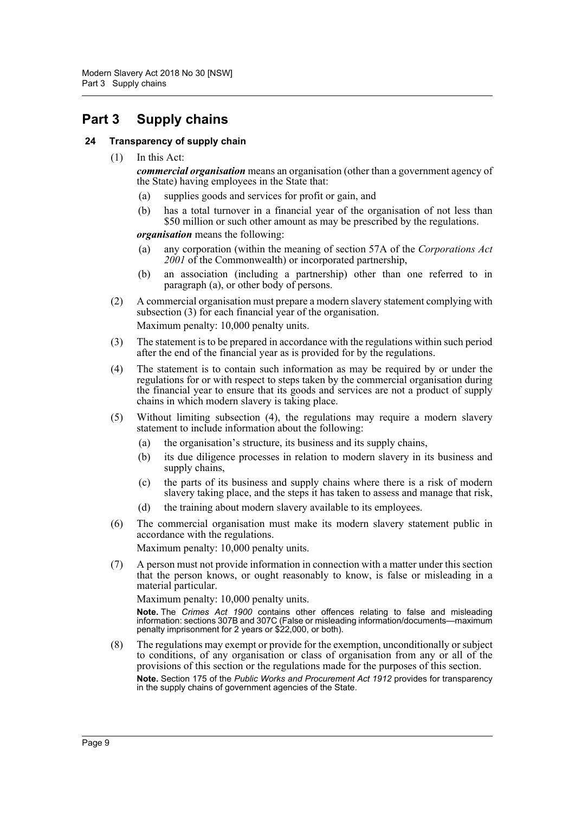# <span id="page-10-0"></span>**Part 3 Supply chains**

#### <span id="page-10-1"></span>**24 Transparency of supply chain**

(1) In this Act:

*commercial organisation* means an organisation (other than a government agency of the State) having employees in the State that:

- (a) supplies goods and services for profit or gain, and
- (b) has a total turnover in a financial year of the organisation of not less than \$50 million or such other amount as may be prescribed by the regulations.

*organisation* means the following:

- (a) any corporation (within the meaning of section 57A of the *Corporations Act 2001* of the Commonwealth) or incorporated partnership,
- (b) an association (including a partnership) other than one referred to in paragraph (a), or other body of persons.
- (2) A commercial organisation must prepare a modern slavery statement complying with subsection (3) for each financial year of the organisation. Maximum penalty: 10,000 penalty units.
- (3) The statement is to be prepared in accordance with the regulations within such period after the end of the financial year as is provided for by the regulations.
- (4) The statement is to contain such information as may be required by or under the regulations for or with respect to steps taken by the commercial organisation during the financial year to ensure that its goods and services are not a product of supply chains in which modern slavery is taking place.
- (5) Without limiting subsection (4), the regulations may require a modern slavery statement to include information about the following:
	- (a) the organisation's structure, its business and its supply chains,
	- (b) its due diligence processes in relation to modern slavery in its business and supply chains,
	- (c) the parts of its business and supply chains where there is a risk of modern slavery taking place, and the steps it has taken to assess and manage that risk,
	- (d) the training about modern slavery available to its employees.
- (6) The commercial organisation must make its modern slavery statement public in accordance with the regulations.

Maximum penalty: 10,000 penalty units.

(7) A person must not provide information in connection with a matter under this section that the person knows, or ought reasonably to know, is false or misleading in a material particular.

Maximum penalty: 10,000 penalty units.

**Note.** The *Crimes Act 1900* contains other offences relating to false and misleading information: sections 307B and 307C (False or misleading information/documents—maximum penalty imprisonment for 2 years or \$22,000, or both).

(8) The regulations may exempt or provide for the exemption, unconditionally or subject to conditions, of any organisation or class of organisation from any or all of the provisions of this section or the regulations made for the purposes of this section. **Note.** Section 175 of the *Public Works and Procurement Act 1912* provides for transparency in the supply chains of government agencies of the State.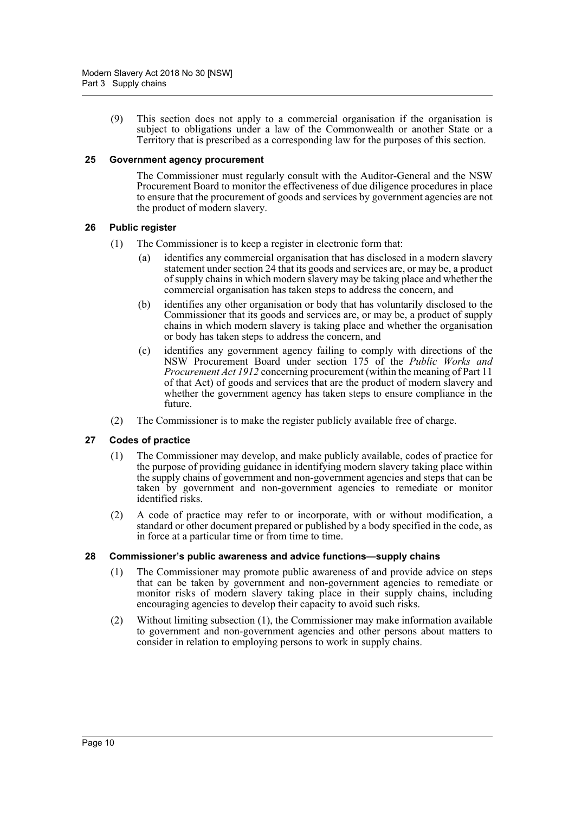(9) This section does not apply to a commercial organisation if the organisation is subject to obligations under a law of the Commonwealth or another State or a Territory that is prescribed as a corresponding law for the purposes of this section.

#### <span id="page-11-0"></span>**25 Government agency procurement**

The Commissioner must regularly consult with the Auditor-General and the NSW Procurement Board to monitor the effectiveness of due diligence procedures in place to ensure that the procurement of goods and services by government agencies are not the product of modern slavery.

#### <span id="page-11-1"></span>**26 Public register**

- (1) The Commissioner is to keep a register in electronic form that:
	- (a) identifies any commercial organisation that has disclosed in a modern slavery statement under section 24 that its goods and services are, or may be, a product of supply chains in which modern slavery may be taking place and whether the commercial organisation has taken steps to address the concern, and
	- (b) identifies any other organisation or body that has voluntarily disclosed to the Commissioner that its goods and services are, or may be, a product of supply chains in which modern slavery is taking place and whether the organisation or body has taken steps to address the concern, and
	- (c) identifies any government agency failing to comply with directions of the NSW Procurement Board under section 175 of the *Public Works and Procurement Act 1912* concerning procurement (within the meaning of Part 11 of that Act) of goods and services that are the product of modern slavery and whether the government agency has taken steps to ensure compliance in the future.
- (2) The Commissioner is to make the register publicly available free of charge.

#### <span id="page-11-2"></span>**27 Codes of practice**

- (1) The Commissioner may develop, and make publicly available, codes of practice for the purpose of providing guidance in identifying modern slavery taking place within the supply chains of government and non-government agencies and steps that can be taken by government and non-government agencies to remediate or monitor identified risks.
- (2) A code of practice may refer to or incorporate, with or without modification, a standard or other document prepared or published by a body specified in the code, as in force at a particular time or from time to time.

#### <span id="page-11-3"></span>**28 Commissioner's public awareness and advice functions—supply chains**

- (1) The Commissioner may promote public awareness of and provide advice on steps that can be taken by government and non-government agencies to remediate or monitor risks of modern slavery taking place in their supply chains, including encouraging agencies to develop their capacity to avoid such risks.
- (2) Without limiting subsection (1), the Commissioner may make information available to government and non-government agencies and other persons about matters to consider in relation to employing persons to work in supply chains.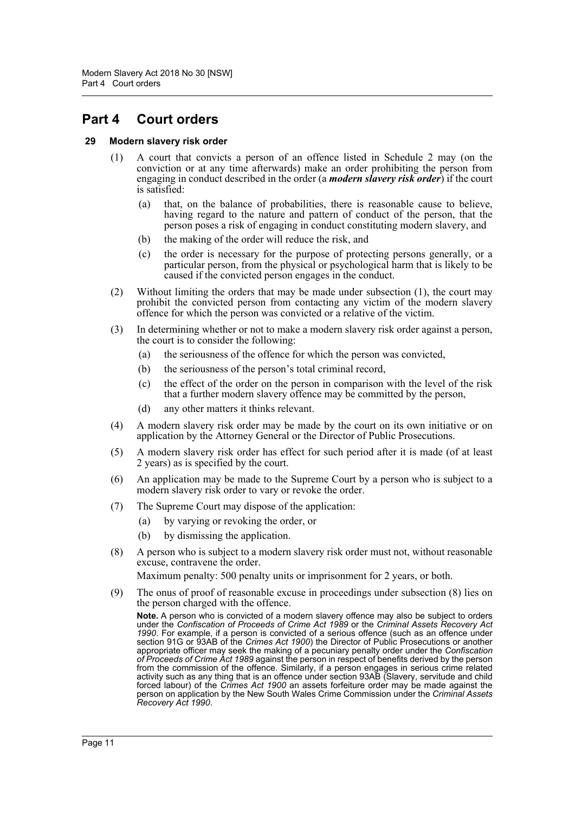# <span id="page-12-0"></span>**Part 4 Court orders**

#### <span id="page-12-1"></span>**29 Modern slavery risk order**

- (1) A court that convicts a person of an offence listed in Schedule 2 may (on the conviction or at any time afterwards) make an order prohibiting the person from engaging in conduct described in the order (a *modern slavery risk order*) if the court is satisfied:
	- (a) that, on the balance of probabilities, there is reasonable cause to believe, having regard to the nature and pattern of conduct of the person, that the person poses a risk of engaging in conduct constituting modern slavery, and
	- (b) the making of the order will reduce the risk, and
	- (c) the order is necessary for the purpose of protecting persons generally, or a particular person, from the physical or psychological harm that is likely to be caused if the convicted person engages in the conduct.
- (2) Without limiting the orders that may be made under subsection (1), the court may prohibit the convicted person from contacting any victim of the modern slavery offence for which the person was convicted or a relative of the victim.
- (3) In determining whether or not to make a modern slavery risk order against a person, the court is to consider the following:
	- (a) the seriousness of the offence for which the person was convicted,
	- (b) the seriousness of the person's total criminal record,
	- (c) the effect of the order on the person in comparison with the level of the risk that a further modern slavery offence may be committed by the person,
	- (d) any other matters it thinks relevant.
- (4) A modern slavery risk order may be made by the court on its own initiative or on application by the Attorney General or the Director of Public Prosecutions.
- (5) A modern slavery risk order has effect for such period after it is made (of at least 2 years) as is specified by the court.
- (6) An application may be made to the Supreme Court by a person who is subject to a modern slavery risk order to vary or revoke the order.
- (7) The Supreme Court may dispose of the application:
	- (a) by varying or revoking the order, or
	- (b) by dismissing the application.
- (8) A person who is subject to a modern slavery risk order must not, without reasonable excuse, contravene the order.

Maximum penalty: 500 penalty units or imprisonment for 2 years, or both.

(9) The onus of proof of reasonable excuse in proceedings under subsection (8) lies on the person charged with the offence.

**Note.** A person who is convicted of a modern slavery offence may also be subject to orders under the *Confiscation of Proceeds of Crime Act 1989* or the *Criminal Assets Recovery Act 1990*. For example, if a person is convicted of a serious offence (such as an offence under section 91G or 93AB of the *Crimes Act 1900*) the Director of Public Prosecutions or another appropriate officer may seek the making of a pecuniary penalty order under the *Confiscation of Proceeds of Crime Act 1989* against the person in respect of benefits derived by the person from the commission of the offence. Similarly, if a person engages in serious crime related activity such as any thing that is an offence under section 93AB (Slavery, servitude and child forced labour) of the *Crimes Act 1900* an assets forfeiture order may be made against the person on application by the New South Wales Crime Commission under the *Criminal Assets Recovery Act 1990*.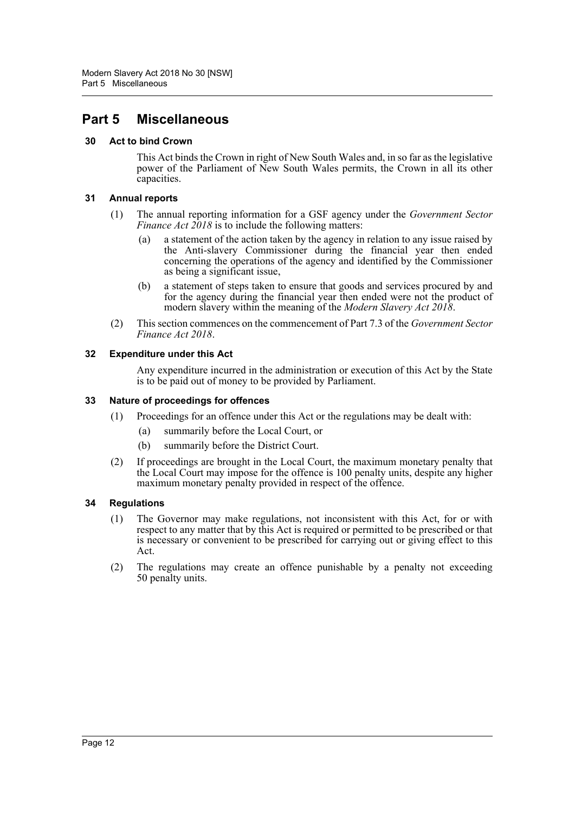# <span id="page-13-0"></span>**Part 5 Miscellaneous**

# <span id="page-13-1"></span>**30 Act to bind Crown**

This Act binds the Crown in right of New South Wales and, in so far as the legislative power of the Parliament of New South Wales permits, the Crown in all its other capacities.

# <span id="page-13-2"></span>**31 Annual reports**

- (1) The annual reporting information for a GSF agency under the *Government Sector Finance Act 2018* is to include the following matters:
	- (a) a statement of the action taken by the agency in relation to any issue raised by the Anti-slavery Commissioner during the financial year then ended concerning the operations of the agency and identified by the Commissioner as being a significant issue,
	- (b) a statement of steps taken to ensure that goods and services procured by and for the agency during the financial year then ended were not the product of modern slavery within the meaning of the *Modern Slavery Act 2018*.
- (2) This section commences on the commencement of Part 7.3 of the *Government Sector Finance Act 2018*.

# <span id="page-13-3"></span>**32 Expenditure under this Act**

Any expenditure incurred in the administration or execution of this Act by the State is to be paid out of money to be provided by Parliament.

# <span id="page-13-4"></span>**33 Nature of proceedings for offences**

- (1) Proceedings for an offence under this Act or the regulations may be dealt with:
	- (a) summarily before the Local Court, or
	- (b) summarily before the District Court.
- (2) If proceedings are brought in the Local Court, the maximum monetary penalty that the Local Court may impose for the offence is 100 penalty units, despite any higher maximum monetary penalty provided in respect of the offence.

# <span id="page-13-5"></span>**34 Regulations**

- (1) The Governor may make regulations, not inconsistent with this Act, for or with respect to any matter that by this Act is required or permitted to be prescribed or that is necessary or convenient to be prescribed for carrying out or giving effect to this Act.
- (2) The regulations may create an offence punishable by a penalty not exceeding 50 penalty units.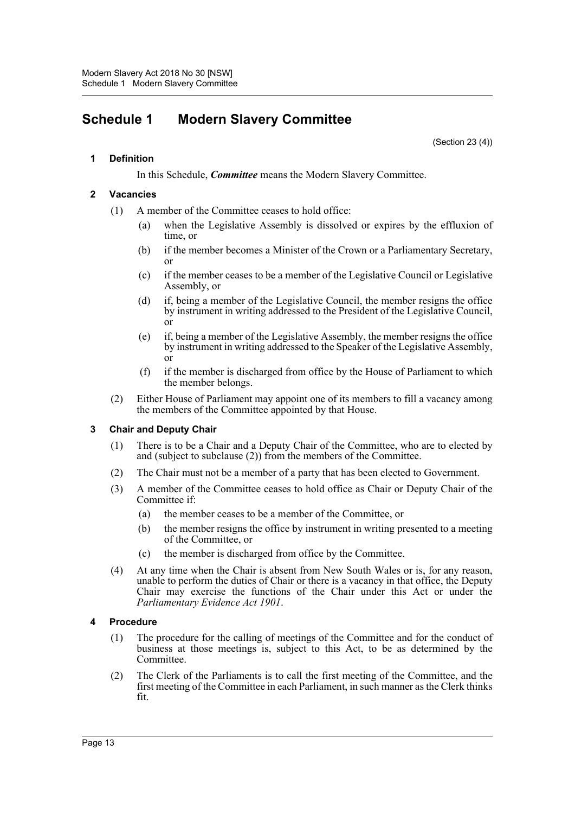# <span id="page-14-0"></span>**Schedule 1 Modern Slavery Committee**

(Section 23 (4))

#### **1 Definition**

In this Schedule, *Committee* means the Modern Slavery Committee.

#### **2 Vacancies**

- (1) A member of the Committee ceases to hold office:
	- (a) when the Legislative Assembly is dissolved or expires by the effluxion of time, or
	- (b) if the member becomes a Minister of the Crown or a Parliamentary Secretary, or
	- (c) if the member ceases to be a member of the Legislative Council or Legislative Assembly, or
	- (d) if, being a member of the Legislative Council, the member resigns the office by instrument in writing addressed to the President of the Legislative Council, or
	- (e) if, being a member of the Legislative Assembly, the member resigns the office by instrument in writing addressed to the Speaker of the Legislative Assembly, or
	- (f) if the member is discharged from office by the House of Parliament to which the member belongs.
- (2) Either House of Parliament may appoint one of its members to fill a vacancy among the members of the Committee appointed by that House.

# **3 Chair and Deputy Chair**

- (1) There is to be a Chair and a Deputy Chair of the Committee, who are to elected by and (subject to subclause (2)) from the members of the Committee.
- (2) The Chair must not be a member of a party that has been elected to Government.
- (3) A member of the Committee ceases to hold office as Chair or Deputy Chair of the Committee if:
	- (a) the member ceases to be a member of the Committee, or
	- (b) the member resigns the office by instrument in writing presented to a meeting of the Committee, or
	- (c) the member is discharged from office by the Committee.
- (4) At any time when the Chair is absent from New South Wales or is, for any reason, unable to perform the duties of Chair or there is a vacancy in that office, the Deputy Chair may exercise the functions of the Chair under this Act or under the *Parliamentary Evidence Act 1901*.

#### **4 Procedure**

- (1) The procedure for the calling of meetings of the Committee and for the conduct of business at those meetings is, subject to this Act, to be as determined by the Committee.
- (2) The Clerk of the Parliaments is to call the first meeting of the Committee, and the first meeting of the Committee in each Parliament, in such manner as the Clerk thinks fit.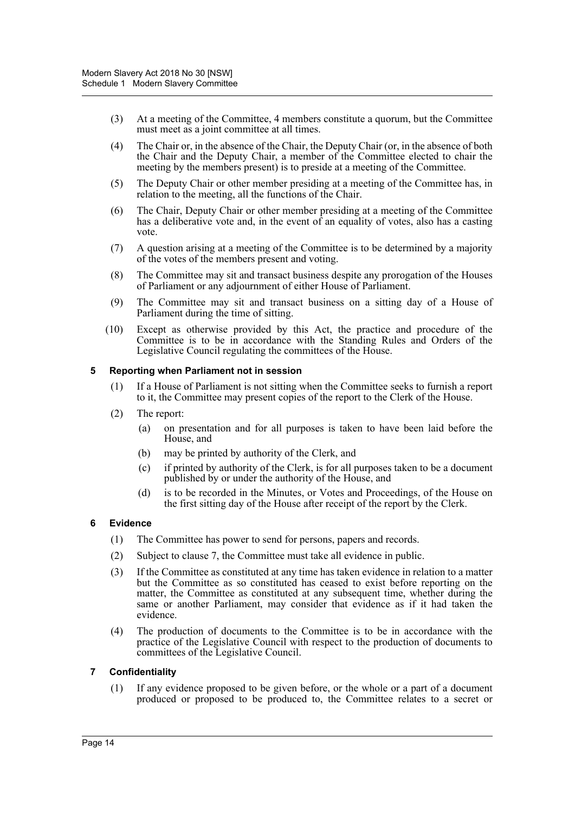- (3) At a meeting of the Committee, 4 members constitute a quorum, but the Committee must meet as a joint committee at all times.
- (4) The Chair or, in the absence of the Chair, the Deputy Chair (or, in the absence of both the Chair and the Deputy Chair, a member of the Committee elected to chair the meeting by the members present) is to preside at a meeting of the Committee.
- (5) The Deputy Chair or other member presiding at a meeting of the Committee has, in relation to the meeting, all the functions of the Chair.
- (6) The Chair, Deputy Chair or other member presiding at a meeting of the Committee has a deliberative vote and, in the event of an equality of votes, also has a casting vote.
- (7) A question arising at a meeting of the Committee is to be determined by a majority of the votes of the members present and voting.
- (8) The Committee may sit and transact business despite any prorogation of the Houses of Parliament or any adjournment of either House of Parliament.
- (9) The Committee may sit and transact business on a sitting day of a House of Parliament during the time of sitting.
- (10) Except as otherwise provided by this Act, the practice and procedure of the Committee is to be in accordance with the Standing Rules and Orders of the Legislative Council regulating the committees of the House.

#### **5 Reporting when Parliament not in session**

- (1) If a House of Parliament is not sitting when the Committee seeks to furnish a report to it, the Committee may present copies of the report to the Clerk of the House.
- (2) The report:
	- (a) on presentation and for all purposes is taken to have been laid before the House, and
	- (b) may be printed by authority of the Clerk, and
	- (c) if printed by authority of the Clerk, is for all purposes taken to be a document published by or under the authority of the House, and
	- (d) is to be recorded in the Minutes, or Votes and Proceedings, of the House on the first sitting day of the House after receipt of the report by the Clerk.

# **6 Evidence**

- (1) The Committee has power to send for persons, papers and records.
- (2) Subject to clause 7, the Committee must take all evidence in public.
- (3) If the Committee as constituted at any time has taken evidence in relation to a matter but the Committee as so constituted has ceased to exist before reporting on the matter, the Committee as constituted at any subsequent time, whether during the same or another Parliament, may consider that evidence as if it had taken the evidence.
- (4) The production of documents to the Committee is to be in accordance with the practice of the Legislative Council with respect to the production of documents to committees of the Legislative Council.

#### **7 Confidentiality**

(1) If any evidence proposed to be given before, or the whole or a part of a document produced or proposed to be produced to, the Committee relates to a secret or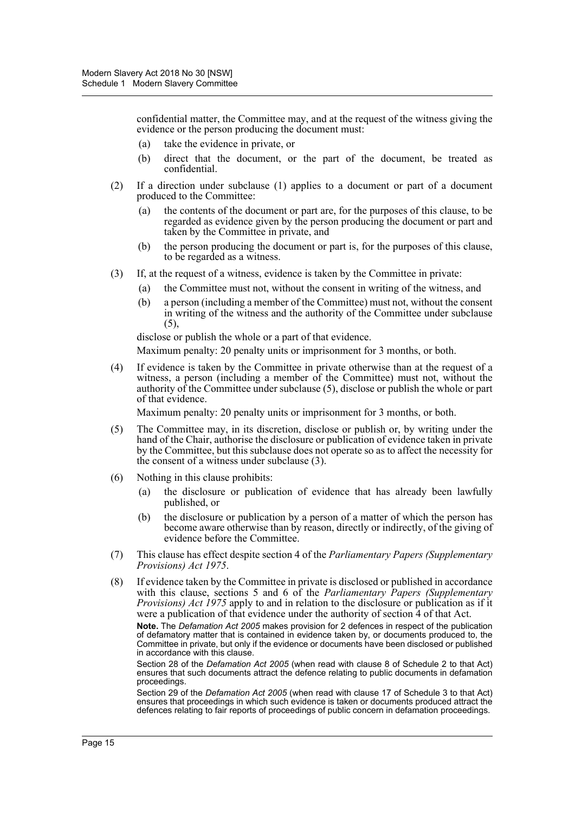confidential matter, the Committee may, and at the request of the witness giving the evidence or the person producing the document must:

- (a) take the evidence in private, or
- (b) direct that the document, or the part of the document, be treated as confidential.
- (2) If a direction under subclause (1) applies to a document or part of a document produced to the Committee:
	- (a) the contents of the document or part are, for the purposes of this clause, to be regarded as evidence given by the person producing the document or part and taken by the Committee in private, and
	- (b) the person producing the document or part is, for the purposes of this clause, to be regarded as a witness.
- (3) If, at the request of a witness, evidence is taken by the Committee in private:
	- (a) the Committee must not, without the consent in writing of the witness, and
	- (b) a person (including a member of the Committee) must not, without the consent in writing of the witness and the authority of the Committee under subclause  $(5)$ ,

disclose or publish the whole or a part of that evidence.

Maximum penalty: 20 penalty units or imprisonment for 3 months, or both.

(4) If evidence is taken by the Committee in private otherwise than at the request of a witness, a person (including a member of the Committee) must not, without the authority of the Committee under subclause (5), disclose or publish the whole or part of that evidence.

Maximum penalty: 20 penalty units or imprisonment for 3 months, or both.

- (5) The Committee may, in its discretion, disclose or publish or, by writing under the hand of the Chair, authorise the disclosure or publication of evidence taken in private by the Committee, but this subclause does not operate so as to affect the necessity for the consent of a witness under subclause (3).
- (6) Nothing in this clause prohibits:
	- (a) the disclosure or publication of evidence that has already been lawfully published, or
	- (b) the disclosure or publication by a person of a matter of which the person has become aware otherwise than by reason, directly or indirectly, of the giving of evidence before the Committee.
- (7) This clause has effect despite section 4 of the *Parliamentary Papers (Supplementary Provisions) Act 1975*.
- (8) If evidence taken by the Committee in private is disclosed or published in accordance with this clause, sections 5 and 6 of the *Parliamentary Papers (Supplementary Provisions) Act 1975* apply to and in relation to the disclosure or publication as if it were a publication of that evidence under the authority of section 4 of that Act.

**Note.** The *Defamation Act 2005* makes provision for 2 defences in respect of the publication of defamatory matter that is contained in evidence taken by, or documents produced to, the Committee in private, but only if the evidence or documents have been disclosed or published in accordance with this clause.

Section 28 of the *Defamation Act 2005* (when read with clause 8 of Schedule 2 to that Act) ensures that such documents attract the defence relating to public documents in defamation proceedings.

Section 29 of the *Defamation Act 2005* (when read with clause 17 of Schedule 3 to that Act) ensures that proceedings in which such evidence is taken or documents produced attract the defences relating to fair reports of proceedings of public concern in defamation proceedings.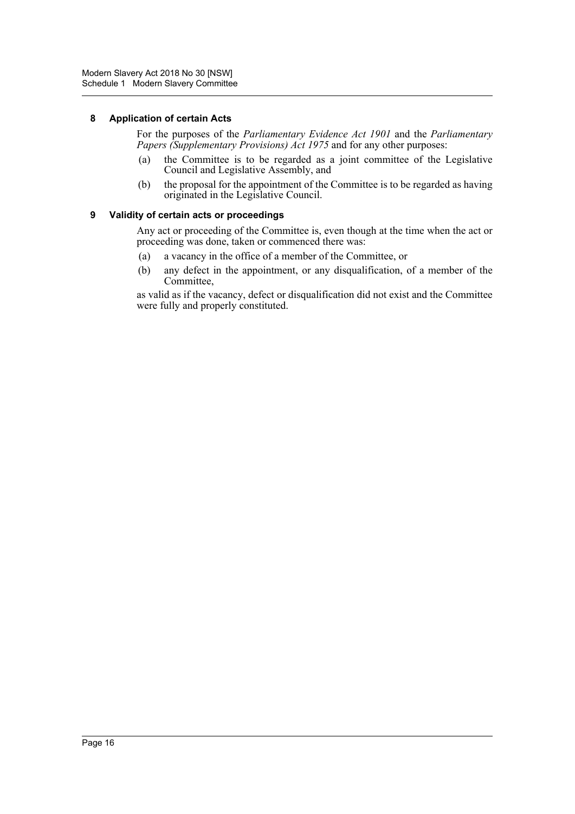#### **8 Application of certain Acts**

For the purposes of the *Parliamentary Evidence Act 1901* and the *Parliamentary Papers (Supplementary Provisions) Act 1975* and for any other purposes:

- (a) the Committee is to be regarded as a joint committee of the Legislative Council and Legislative Assembly, and
- (b) the proposal for the appointment of the Committee is to be regarded as having originated in the Legislative Council.

#### **9 Validity of certain acts or proceedings**

Any act or proceeding of the Committee is, even though at the time when the act or proceeding was done, taken or commenced there was:

- (a) a vacancy in the office of a member of the Committee, or
- (b) any defect in the appointment, or any disqualification, of a member of the Committee,

as valid as if the vacancy, defect or disqualification did not exist and the Committee were fully and properly constituted.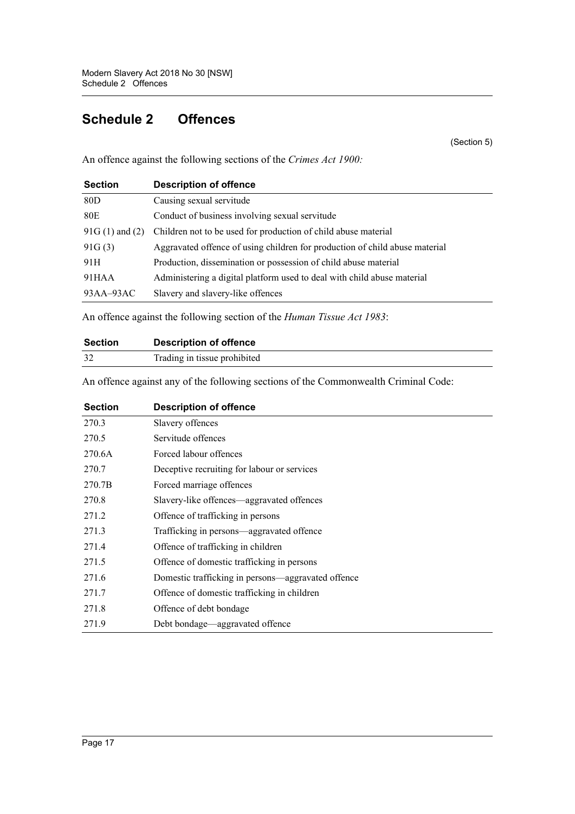# <span id="page-18-0"></span>**Schedule 2 Offences**

(Section 5)

An offence against the following sections of the *Crimes Act 1900:*

| <b>Section</b>     | <b>Description of offence</b>                                               |
|--------------------|-----------------------------------------------------------------------------|
| 80D                | Causing sexual servitude                                                    |
| 80E                | Conduct of business involving sexual servitude                              |
| $91G(1)$ and $(2)$ | Children not to be used for production of child abuse material              |
| 91G(3)             | Aggravated offence of using children for production of child abuse material |
| 91H                | Production, dissemination or possession of child abuse material             |
| 91HAA              | Administering a digital platform used to deal with child abuse material     |
| $93AA-93AC$        | Slavery and slavery-like offences                                           |

An offence against the following section of the *Human Tissue Act 1983*:

| <b>Section</b> | <b>Description of offence</b> |
|----------------|-------------------------------|
|                | Trading in tissue prohibited  |

An offence against any of the following sections of the Commonwealth Criminal Code:

| <b>Section</b> | <b>Description of offence</b>                      |
|----------------|----------------------------------------------------|
| 270.3          | Slavery offences                                   |
| 270.5          | Servitude offences                                 |
| 270.6A         | Forced labour offences                             |
| 270.7          | Deceptive recruiting for labour or services        |
| 270.7B         | Forced marriage offences                           |
| 270.8          | Slavery-like offences—aggravated offences          |
| 271.2          | Offence of trafficking in persons                  |
| 271.3          | Trafficking in persons—aggravated offence          |
| 271.4          | Offence of trafficking in children                 |
| 271.5          | Offence of domestic trafficking in persons         |
| 271.6          | Domestic trafficking in persons—aggravated offence |
| 271.7          | Offence of domestic trafficking in children        |
| 271.8          | Offence of debt bondage                            |
| 271.9          | Debt bondage—aggravated offence                    |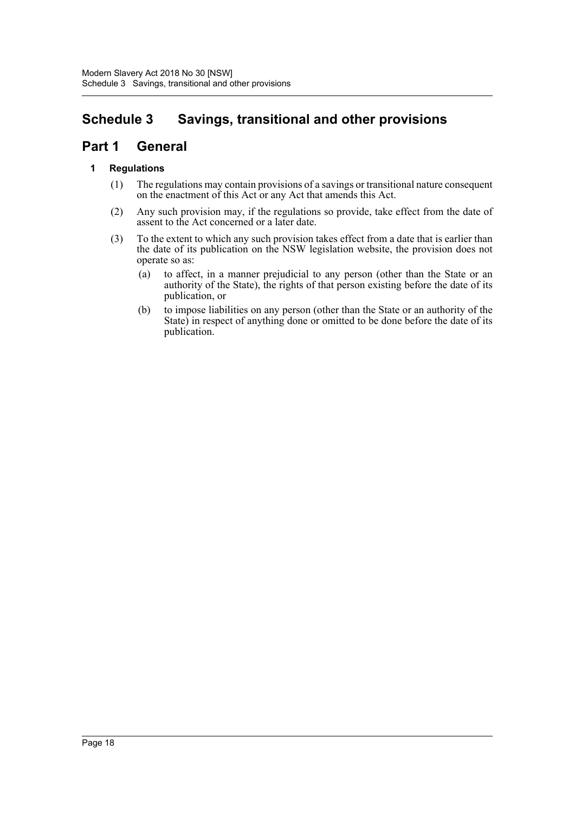# <span id="page-19-0"></span>**Schedule 3 Savings, transitional and other provisions**

# **Part 1 General**

# **1 Regulations**

- (1) The regulations may contain provisions of a savings or transitional nature consequent on the enactment of this Act or any Act that amends this Act.
- (2) Any such provision may, if the regulations so provide, take effect from the date of assent to the Act concerned or a later date.
- (3) To the extent to which any such provision takes effect from a date that is earlier than the date of its publication on the NSW legislation website, the provision does not operate so as:
	- (a) to affect, in a manner prejudicial to any person (other than the State or an authority of the State), the rights of that person existing before the date of its publication, or
	- (b) to impose liabilities on any person (other than the State or an authority of the State) in respect of anything done or omitted to be done before the date of its publication.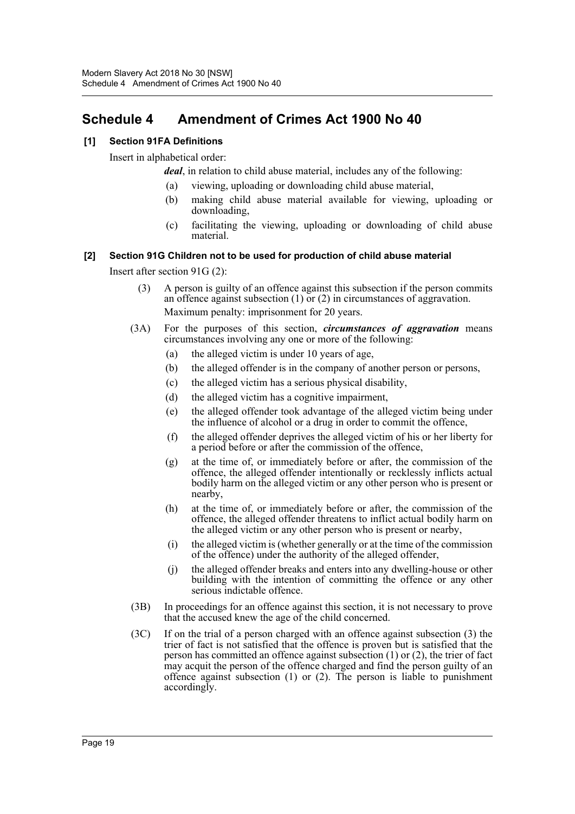# <span id="page-20-0"></span>**Schedule 4 Amendment of Crimes Act 1900 No 40**

# **[1] Section 91FA Definitions**

Insert in alphabetical order:

*deal*, in relation to child abuse material, includes any of the following:

- (a) viewing, uploading or downloading child abuse material,
- (b) making child abuse material available for viewing, uploading or downloading,
- (c) facilitating the viewing, uploading or downloading of child abuse material.

#### **[2] Section 91G Children not to be used for production of child abuse material**

Insert after section 91G (2):

- (3) A person is guilty of an offence against this subsection if the person commits an offence against subsection (1) or (2) in circumstances of aggravation. Maximum penalty: imprisonment for 20 years.
- (3A) For the purposes of this section, *circumstances of aggravation* means circumstances involving any one or more of the following:
	- (a) the alleged victim is under 10 years of age,
	- (b) the alleged offender is in the company of another person or persons,
	- (c) the alleged victim has a serious physical disability,
	- (d) the alleged victim has a cognitive impairment,
	- (e) the alleged offender took advantage of the alleged victim being under the influence of alcohol or a drug in order to commit the offence,
	- (f) the alleged offender deprives the alleged victim of his or her liberty for a period before or after the commission of the offence,
	- (g) at the time of, or immediately before or after, the commission of the offence, the alleged offender intentionally or recklessly inflicts actual bodily harm on the alleged victim or any other person who is present or nearby,
	- (h) at the time of, or immediately before or after, the commission of the offence, the alleged offender threatens to inflict actual bodily harm on the alleged victim or any other person who is present or nearby,
	- (i) the alleged victim is (whether generally or at the time of the commission of the offence) under the authority of the alleged offender,
	- (j) the alleged offender breaks and enters into any dwelling-house or other building with the intention of committing the offence or any other serious indictable offence.
- (3B) In proceedings for an offence against this section, it is not necessary to prove that the accused knew the age of the child concerned.
- (3C) If on the trial of a person charged with an offence against subsection (3) the trier of fact is not satisfied that the offence is proven but is satisfied that the person has committed an offence against subsection (1) or (2), the trier of fact may acquit the person of the offence charged and find the person guilty of an offence against subsection (1) or (2). The person is liable to punishment accordingly.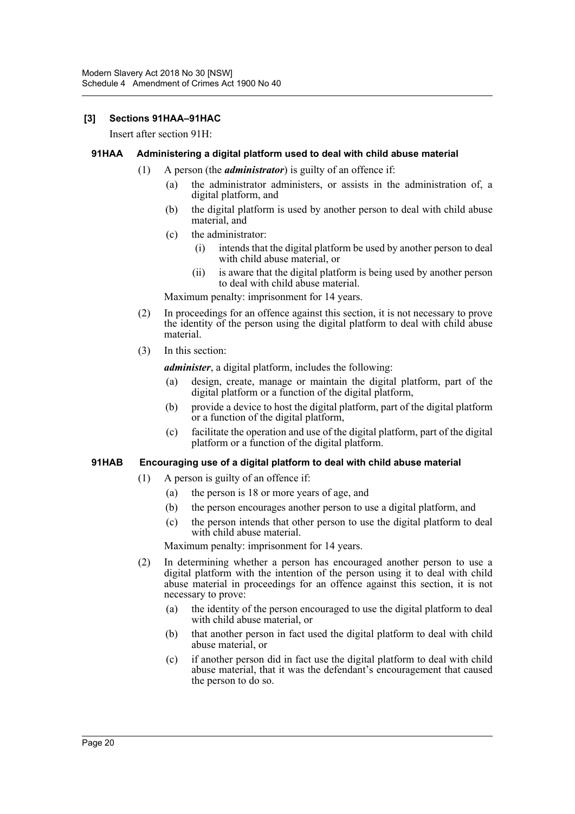#### **[3] Sections 91HAA–91HAC**

Insert after section 91H:

#### **91HAA Administering a digital platform used to deal with child abuse material**

- (1) A person (the *administrator*) is guilty of an offence if:
	- (a) the administrator administers, or assists in the administration of, a digital platform, and
	- (b) the digital platform is used by another person to deal with child abuse material, and
	- (c) the administrator:
		- (i) intends that the digital platform be used by another person to deal with child abuse material, or
		- (ii) is aware that the digital platform is being used by another person to deal with child abuse material.

Maximum penalty: imprisonment for 14 years.

- (2) In proceedings for an offence against this section, it is not necessary to prove the identity of the person using the digital platform to deal with child abuse material.
- (3) In this section:

*administer*, a digital platform, includes the following:

- (a) design, create, manage or maintain the digital platform, part of the digital platform or a function of the digital platform,
- (b) provide a device to host the digital platform, part of the digital platform or a function of the digital platform,
- (c) facilitate the operation and use of the digital platform, part of the digital platform or a function of the digital platform.

#### **91HAB Encouraging use of a digital platform to deal with child abuse material**

- (1) A person is guilty of an offence if:
	- (a) the person is 18 or more years of age, and
	- (b) the person encourages another person to use a digital platform, and
	- (c) the person intends that other person to use the digital platform to deal with child abuse material.

Maximum penalty: imprisonment for 14 years.

- (2) In determining whether a person has encouraged another person to use a digital platform with the intention of the person using it to deal with child abuse material in proceedings for an offence against this section, it is not necessary to prove:
	- (a) the identity of the person encouraged to use the digital platform to deal with child abuse material, or
	- (b) that another person in fact used the digital platform to deal with child abuse material, or
	- (c) if another person did in fact use the digital platform to deal with child abuse material, that it was the defendant's encouragement that caused the person to do so.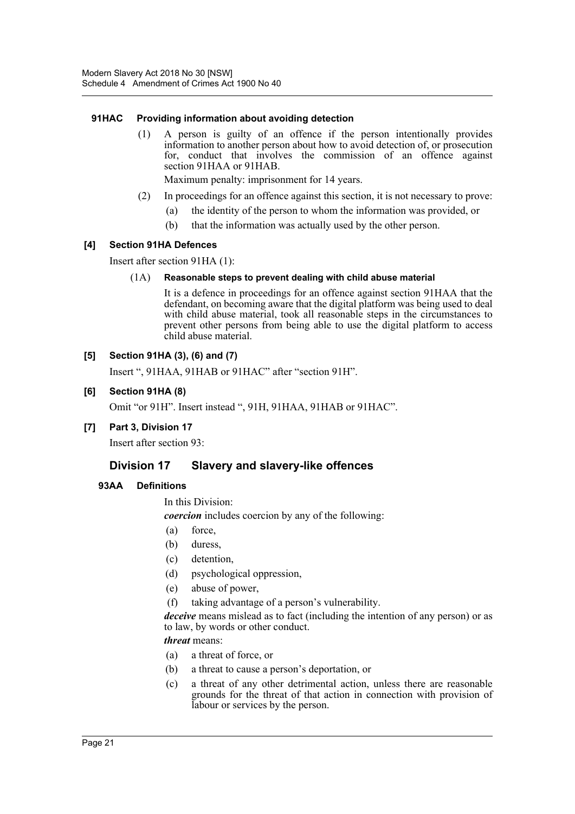#### **91HAC Providing information about avoiding detection**

(1) A person is guilty of an offence if the person intentionally provides information to another person about how to avoid detection of, or prosecution for, conduct that involves the commission of an offence against section 91HAA or 91HAB.

Maximum penalty: imprisonment for 14 years.

- (2) In proceedings for an offence against this section, it is not necessary to prove:
	- (a) the identity of the person to whom the information was provided, or
	- (b) that the information was actually used by the other person.

#### **[4] Section 91HA Defences**

Insert after section 91HA (1):

#### (1A) **Reasonable steps to prevent dealing with child abuse material**

It is a defence in proceedings for an offence against section 91HAA that the defendant, on becoming aware that the digital platform was being used to deal with child abuse material, took all reasonable steps in the circumstances to prevent other persons from being able to use the digital platform to access child abuse material.

#### **[5] Section 91HA (3), (6) and (7)**

Insert ", 91HAA, 91HAB or 91HAC" after "section 91H".

#### **[6] Section 91HA (8)**

Omit "or 91H". Insert instead ", 91H, 91HAA, 91HAB or 91HAC".

#### **[7] Part 3, Division 17**

Insert after section 93:

# **Division 17 Slavery and slavery-like offences**

#### **93AA Definitions**

In this Division:

*coercion* includes coercion by any of the following:

- (a) force,
- (b) duress,
- (c) detention,
- (d) psychological oppression,
- (e) abuse of power,
- (f) taking advantage of a person's vulnerability.

*deceive* means mislead as to fact (including the intention of any person) or as to law, by words or other conduct.

*threat* means:

- (a) a threat of force, or
- (b) a threat to cause a person's deportation, or
- (c) a threat of any other detrimental action, unless there are reasonable grounds for the threat of that action in connection with provision of labour or services by the person.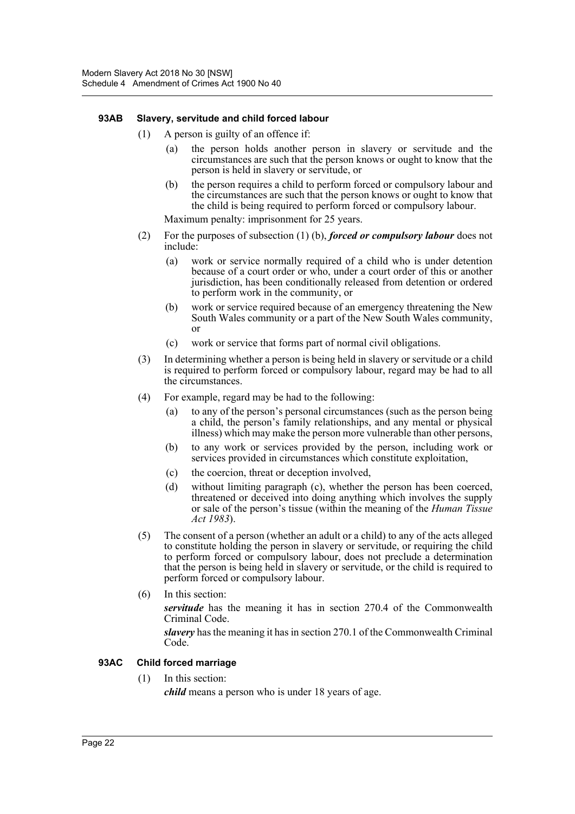#### **93AB Slavery, servitude and child forced labour**

- (1) A person is guilty of an offence if:
	- (a) the person holds another person in slavery or servitude and the circumstances are such that the person knows or ought to know that the person is held in slavery or servitude, or
	- (b) the person requires a child to perform forced or compulsory labour and the circumstances are such that the person knows or ought to know that the child is being required to perform forced or compulsory labour.

Maximum penalty: imprisonment for 25 years.

- (2) For the purposes of subsection (1) (b), *forced or compulsory labour* does not include:
	- (a) work or service normally required of a child who is under detention because of a court order or who, under a court order of this or another jurisdiction, has been conditionally released from detention or ordered to perform work in the community, or
	- (b) work or service required because of an emergency threatening the New South Wales community or a part of the New South Wales community, or
	- (c) work or service that forms part of normal civil obligations.
- (3) In determining whether a person is being held in slavery or servitude or a child is required to perform forced or compulsory labour, regard may be had to all the circumstances.
- (4) For example, regard may be had to the following:
	- (a) to any of the person's personal circumstances (such as the person being a child, the person's family relationships, and any mental or physical illness) which may make the person more vulnerable than other persons,
	- (b) to any work or services provided by the person, including work or services provided in circumstances which constitute exploitation,
	- (c) the coercion, threat or deception involved,
	- (d) without limiting paragraph (c), whether the person has been coerced, threatened or deceived into doing anything which involves the supply or sale of the person's tissue (within the meaning of the *Human Tissue Act 1983*).
- (5) The consent of a person (whether an adult or a child) to any of the acts alleged to constitute holding the person in slavery or servitude, or requiring the child to perform forced or compulsory labour, does not preclude a determination that the person is being held in slavery or servitude, or the child is required to perform forced or compulsory labour.
- (6) In this section:

*servitude* has the meaning it has in section 270.4 of the Commonwealth Criminal Code.

*slavery* has the meaning it has in section 270.1 of the Commonwealth Criminal Code.

#### **93AC Child forced marriage**

(1) In this section:

*child* means a person who is under 18 years of age.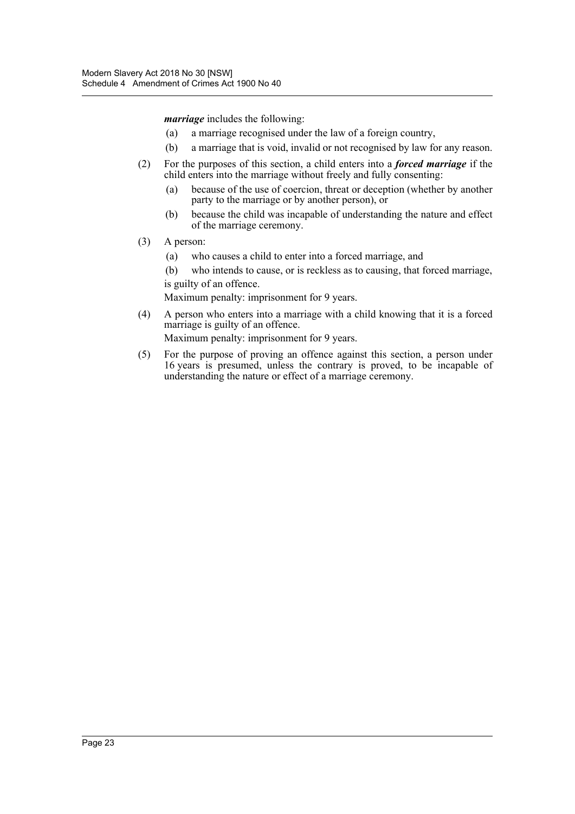*marriage* includes the following:

- (a) a marriage recognised under the law of a foreign country,
- (b) a marriage that is void, invalid or not recognised by law for any reason.
- (2) For the purposes of this section, a child enters into a *forced marriage* if the child enters into the marriage without freely and fully consenting:
	- (a) because of the use of coercion, threat or deception (whether by another party to the marriage or by another person), or
	- (b) because the child was incapable of understanding the nature and effect of the marriage ceremony.
- (3) A person:
	- (a) who causes a child to enter into a forced marriage, and
	- (b) who intends to cause, or is reckless as to causing, that forced marriage, is guilty of an offence.

Maximum penalty: imprisonment for 9 years.

(4) A person who enters into a marriage with a child knowing that it is a forced marriage is guilty of an offence.

Maximum penalty: imprisonment for 9 years.

(5) For the purpose of proving an offence against this section, a person under 16 years is presumed, unless the contrary is proved, to be incapable of understanding the nature or effect of a marriage ceremony.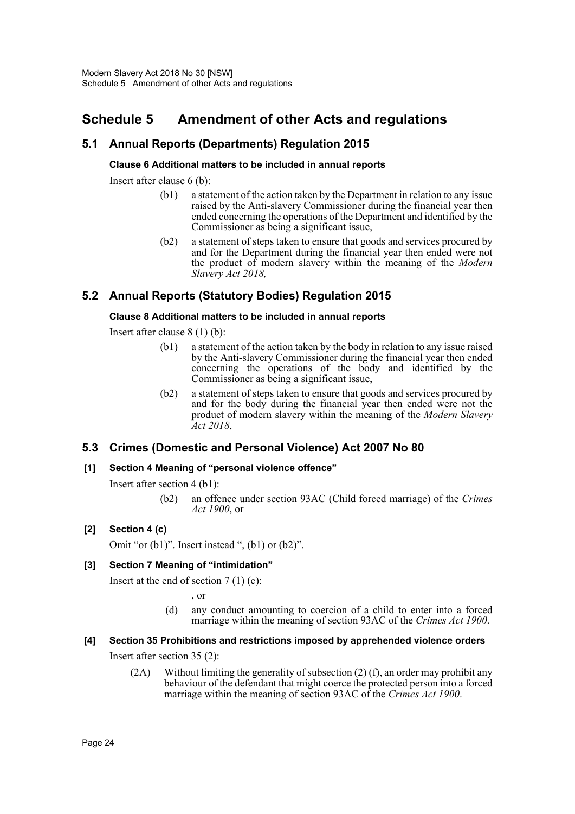# <span id="page-25-0"></span>**Schedule 5 Amendment of other Acts and regulations**

# **5.1 Annual Reports (Departments) Regulation 2015**

# **Clause 6 Additional matters to be included in annual reports**

Insert after clause 6 (b):

- (b1) a statement of the action taken by the Department in relation to any issue raised by the Anti-slavery Commissioner during the financial year then ended concerning the operations of the Department and identified by the Commissioner as being a significant issue,
- (b2) a statement of steps taken to ensure that goods and services procured by and for the Department during the financial year then ended were not the product of modern slavery within the meaning of the *Modern Slavery Act 2018,*

# **5.2 Annual Reports (Statutory Bodies) Regulation 2015**

# **Clause 8 Additional matters to be included in annual reports**

Insert after clause 8 (1) (b):

- (b1) a statement of the action taken by the body in relation to any issue raised by the Anti-slavery Commissioner during the financial year then ended concerning the operations of the body and identified by the Commissioner as being a significant issue,
- (b2) a statement of steps taken to ensure that goods and services procured by and for the body during the financial year then ended were not the product of modern slavery within the meaning of the *Modern Slavery Act 2018*,

# **5.3 Crimes (Domestic and Personal Violence) Act 2007 No 80**

# **[1] Section 4 Meaning of "personal violence offence"**

Insert after section 4 (b1):

(b2) an offence under section 93AC (Child forced marriage) of the *Crimes Act 1900*, or

# **[2] Section 4 (c)**

Omit "or  $(b1)$ ". Insert instead ",  $(b1)$  or  $(b2)$ ".

# **[3] Section 7 Meaning of "intimidation"**

Insert at the end of section  $7(1)(c)$ :

, or

(d) any conduct amounting to coercion of a child to enter into a forced marriage within the meaning of section 93AC of the *Crimes Act 1900*.

# **[4] Section 35 Prohibitions and restrictions imposed by apprehended violence orders**

Insert after section 35 (2):

(2A) Without limiting the generality of subsection (2) (f), an order may prohibit any behaviour of the defendant that might coerce the protected person into a forced marriage within the meaning of section 93AC of the *Crimes Act 1900*.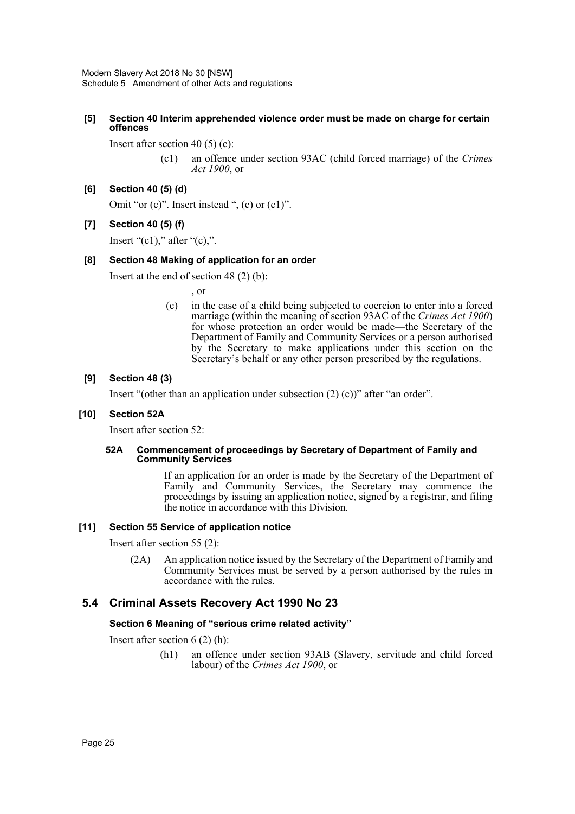#### **[5] Section 40 Interim apprehended violence order must be made on charge for certain offences**

Insert after section 40 (5) (c):

(c1) an offence under section 93AC (child forced marriage) of the *Crimes Act 1900*, or

#### **[6] Section 40 (5) (d)**

Omit "or (c)". Insert instead ", (c) or (c1)".

#### **[7] Section 40 (5) (f)**

Insert " $(c1)$ ," after " $(c)$ ,".

#### **[8] Section 48 Making of application for an order**

Insert at the end of section 48 (2) (b):

, or

(c) in the case of a child being subjected to coercion to enter into a forced marriage (within the meaning of section 93AC of the *Crimes Act 1900*) for whose protection an order would be made—the Secretary of the Department of Family and Community Services or a person authorised by the Secretary to make applications under this section on the Secretary's behalf or any other person prescribed by the regulations.

#### **[9] Section 48 (3)**

Insert "(other than an application under subsection  $(2)$  (c))" after "an order".

#### **[10] Section 52A**

Insert after section 52:

#### **52A Commencement of proceedings by Secretary of Department of Family and Community Services**

If an application for an order is made by the Secretary of the Department of Family and Community Services, the Secretary may commence the proceedings by issuing an application notice, signed by a registrar, and filing the notice in accordance with this Division.

#### **[11] Section 55 Service of application notice**

Insert after section 55 (2):

(2A) An application notice issued by the Secretary of the Department of Family and Community Services must be served by a person authorised by the rules in accordance with the rules.

# **5.4 Criminal Assets Recovery Act 1990 No 23**

#### **Section 6 Meaning of "serious crime related activity"**

Insert after section 6 (2) (h):

(h1) an offence under section 93AB (Slavery, servitude and child forced labour) of the *Crimes Act 1900*, or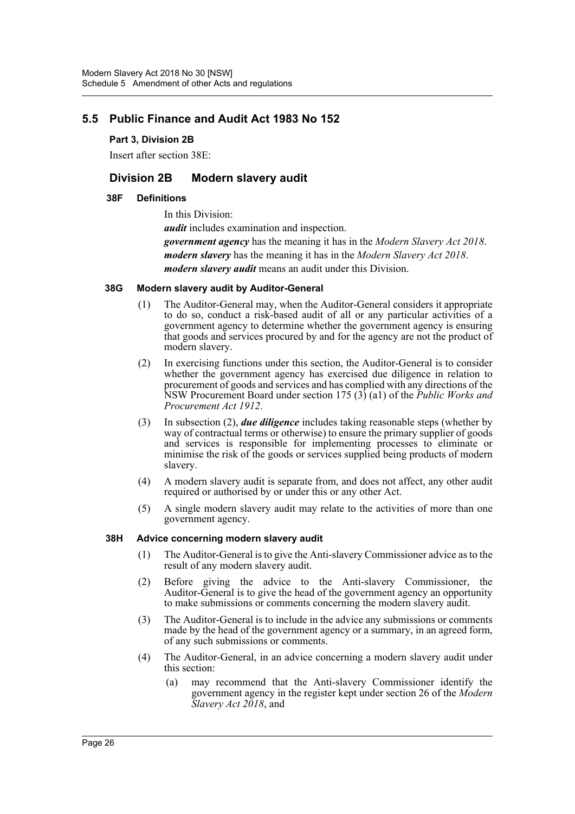# **5.5 Public Finance and Audit Act 1983 No 152**

#### **Part 3, Division 2B**

Insert after section 38E:

# **Division 2B Modern slavery audit**

#### **38F Definitions**

In this Division: *audit* includes examination and inspection. *government agency* has the meaning it has in the *Modern Slavery Act 2018*. *modern slavery* has the meaning it has in the *Modern Slavery Act 2018*. *modern slavery audit* means an audit under this Division.

#### **38G Modern slavery audit by Auditor-General**

- (1) The Auditor-General may, when the Auditor-General considers it appropriate to do so, conduct a risk-based audit of all or any particular activities of a government agency to determine whether the government agency is ensuring that goods and services procured by and for the agency are not the product of modern slavery.
- (2) In exercising functions under this section, the Auditor-General is to consider whether the government agency has exercised due diligence in relation to procurement of goods and services and has complied with any directions of the NSW Procurement Board under section 175 (3) (a1) of the *Public Works and Procurement Act 1912*.
- (3) In subsection (2), *due diligence* includes taking reasonable steps (whether by way of contractual terms or otherwise) to ensure the primary supplier of goods and services is responsible for implementing processes to eliminate or minimise the risk of the goods or services supplied being products of modern slavery.
- (4) A modern slavery audit is separate from, and does not affect, any other audit required or authorised by or under this or any other Act.
- (5) A single modern slavery audit may relate to the activities of more than one government agency.

#### **38H Advice concerning modern slavery audit**

- (1) The Auditor-General is to give the Anti-slavery Commissioner advice as to the result of any modern slavery audit.
- (2) Before giving the advice to the Anti-slavery Commissioner, the Auditor-General is to give the head of the government agency an opportunity to make submissions or comments concerning the modern slavery audit.
- (3) The Auditor-General is to include in the advice any submissions or comments made by the head of the government agency or a summary, in an agreed form, of any such submissions or comments.
- (4) The Auditor-General, in an advice concerning a modern slavery audit under this section:
	- (a) may recommend that the Anti-slavery Commissioner identify the government agency in the register kept under section 26 of the *Modern Slavery Act 2018*, and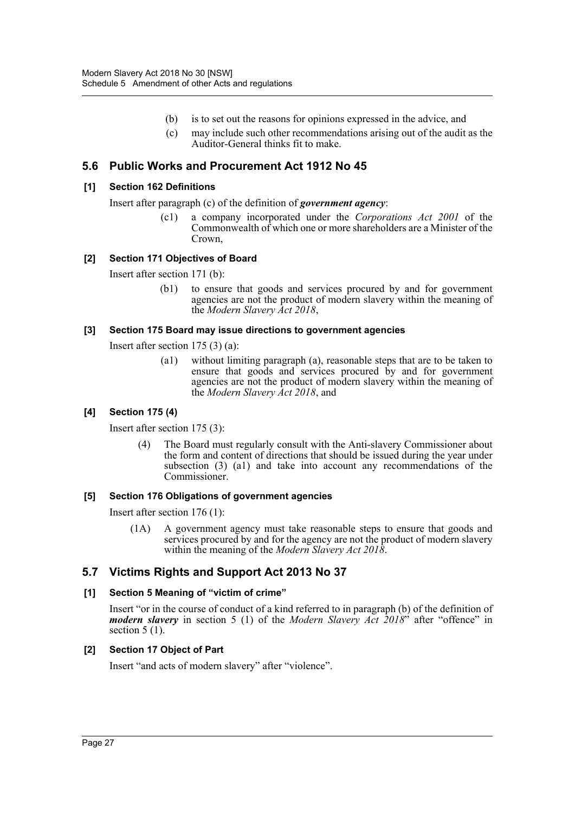- (b) is to set out the reasons for opinions expressed in the advice, and
- (c) may include such other recommendations arising out of the audit as the Auditor-General thinks fit to make.

# **5.6 Public Works and Procurement Act 1912 No 45**

#### **[1] Section 162 Definitions**

Insert after paragraph (c) of the definition of *government agency*:

(c1) a company incorporated under the *Corporations Act 2001* of the Commonwealth of which one or more shareholders are a Minister of the Crown,

# **[2] Section 171 Objectives of Board**

Insert after section 171 (b):

(b1) to ensure that goods and services procured by and for government agencies are not the product of modern slavery within the meaning of the *Modern Slavery Act 2018*,

#### **[3] Section 175 Board may issue directions to government agencies**

Insert after section 175 (3) (a):

(a1) without limiting paragraph (a), reasonable steps that are to be taken to ensure that goods and services procured by and for government agencies are not the product of modern slavery within the meaning of the *Modern Slavery Act 2018*, and

#### **[4] Section 175 (4)**

Insert after section 175 (3):

(4) The Board must regularly consult with the Anti-slavery Commissioner about the form and content of directions that should be issued during the year under subsection (3) (a1) and take into account any recommendations of the Commissioner.

#### **[5] Section 176 Obligations of government agencies**

Insert after section 176 (1):

(1A) A government agency must take reasonable steps to ensure that goods and services procured by and for the agency are not the product of modern slavery within the meaning of the *Modern Slavery Act 2018*.

# **5.7 Victims Rights and Support Act 2013 No 37**

#### **[1] Section 5 Meaning of "victim of crime"**

Insert "or in the course of conduct of a kind referred to in paragraph (b) of the definition of *modern slavery* in section 5 (1) of the *Modern Slavery Act 2018*" after "offence" in section  $5(1)$ .

# **[2] Section 17 Object of Part**

Insert "and acts of modern slavery" after "violence".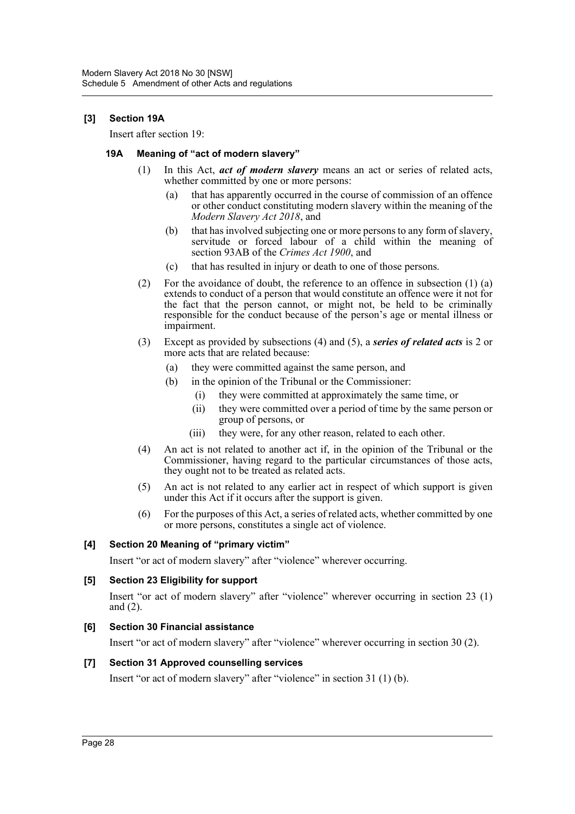#### **[3] Section 19A**

Insert after section 19:

#### **19A Meaning of "act of modern slavery"**

- (1) In this Act, *act of modern slavery* means an act or series of related acts, whether committed by one or more persons:
	- (a) that has apparently occurred in the course of commission of an offence or other conduct constituting modern slavery within the meaning of the *Modern Slavery Act 2018*, and
	- (b) that has involved subjecting one or more persons to any form of slavery, servitude or forced labour of a child within the meaning of section 93AB of the *Crimes Act 1900*, and
	- (c) that has resulted in injury or death to one of those persons.
- (2) For the avoidance of doubt, the reference to an offence in subsection (1) (a) extends to conduct of a person that would constitute an offence were it not for the fact that the person cannot, or might not, be held to be criminally responsible for the conduct because of the person's age or mental illness or impairment.
- (3) Except as provided by subsections (4) and (5), a *series of related acts* is 2 or more acts that are related because:
	- (a) they were committed against the same person, and
	- (b) in the opinion of the Tribunal or the Commissioner:
		- (i) they were committed at approximately the same time, or
		- (ii) they were committed over a period of time by the same person or group of persons, or
		- (iii) they were, for any other reason, related to each other.
- (4) An act is not related to another act if, in the opinion of the Tribunal or the Commissioner, having regard to the particular circumstances of those acts, they ought not to be treated as related acts.
- (5) An act is not related to any earlier act in respect of which support is given under this Act if it occurs after the support is given.
- (6) For the purposes of this Act, a series of related acts, whether committed by one or more persons, constitutes a single act of violence.

#### **[4] Section 20 Meaning of "primary victim"**

Insert "or act of modern slavery" after "violence" wherever occurring.

#### **[5] Section 23 Eligibility for support**

Insert "or act of modern slavery" after "violence" wherever occurring in section 23 (1) and (2).

#### **[6] Section 30 Financial assistance**

Insert "or act of modern slavery" after "violence" wherever occurring in section 30 (2).

#### **[7] Section 31 Approved counselling services**

Insert "or act of modern slavery" after "violence" in section 31 (1) (b).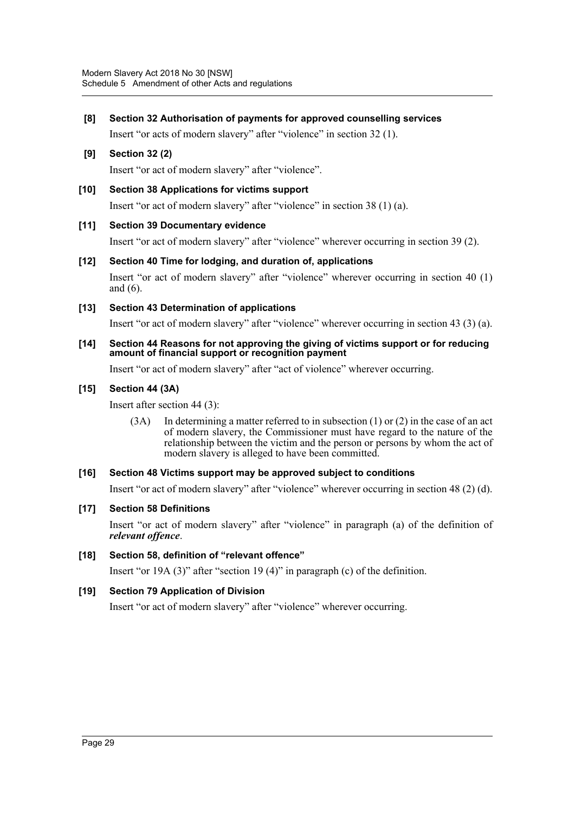#### **[8] Section 32 Authorisation of payments for approved counselling services**

Insert "or acts of modern slavery" after "violence" in section 32 (1).

# **[9] Section 32 (2)**

Insert "or act of modern slavery" after "violence".

#### **[10] Section 38 Applications for victims support**

Insert "or act of modern slavery" after "violence" in section 38 (1) (a).

#### **[11] Section 39 Documentary evidence**

Insert "or act of modern slavery" after "violence" wherever occurring in section 39 (2).

**[12] Section 40 Time for lodging, and duration of, applications** Insert "or act of modern slavery" after "violence" wherever occurring in section 40 (1) and (6).

#### **[13] Section 43 Determination of applications**

Insert "or act of modern slavery" after "violence" wherever occurring in section 43 (3) (a).

#### **[14] Section 44 Reasons for not approving the giving of victims support or for reducing amount of financial support or recognition payment**

Insert "or act of modern slavery" after "act of violence" wherever occurring.

#### **[15] Section 44 (3A)**

Insert after section 44 (3):

(3A) In determining a matter referred to in subsection (1) or (2) in the case of an act of modern slavery, the Commissioner must have regard to the nature of the relationship between the victim and the person or persons by whom the act of modern slavery is alleged to have been committed.

#### **[16] Section 48 Victims support may be approved subject to conditions**

Insert "or act of modern slavery" after "violence" wherever occurring in section 48 (2) (d).

#### **[17] Section 58 Definitions**

Insert "or act of modern slavery" after "violence" in paragraph (a) of the definition of *relevant offence*.

#### **[18] Section 58, definition of "relevant offence"**

Insert "or 19A (3)" after "section 19 (4)" in paragraph (c) of the definition.

#### **[19] Section 79 Application of Division**

Insert "or act of modern slavery" after "violence" wherever occurring.